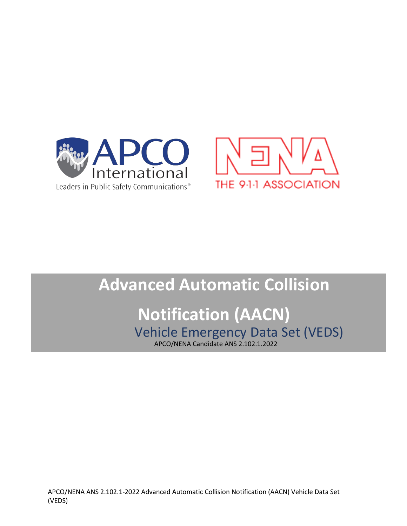



## **Advanced Automatic Collision Notification (AACN)** Vehicle Emergency Data Set (VEDS) APCO/NENA Candidate ANS 2.102.1.2022

APCO/NENA ANS 2.102.1-2022 Advanced Automatic Collision Notification (AACN) Vehicle Data Set (VEDS)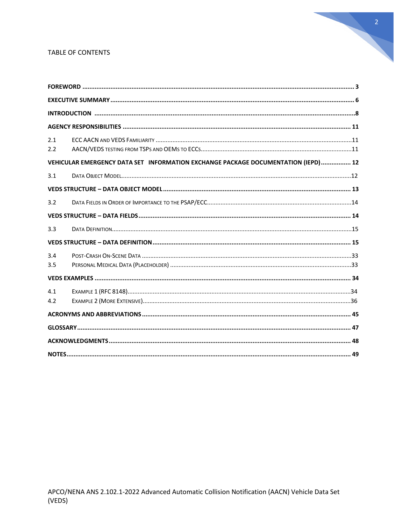#### TABLE OF CONTENTS

| 2.1<br>2.2 |                                                                                   |  |
|------------|-----------------------------------------------------------------------------------|--|
|            | VEHICULAR EMERGENCY DATA SET INFORMATION EXCHANGE PACKAGE DOCUMENTATION (IEPD) 12 |  |
| 3.1        |                                                                                   |  |
|            |                                                                                   |  |
| 3.2        |                                                                                   |  |
|            |                                                                                   |  |
| 3.3        |                                                                                   |  |
|            |                                                                                   |  |
| 3.4<br>3.5 |                                                                                   |  |
|            |                                                                                   |  |
| 4.1<br>4.2 |                                                                                   |  |
|            |                                                                                   |  |
|            |                                                                                   |  |
|            |                                                                                   |  |
|            |                                                                                   |  |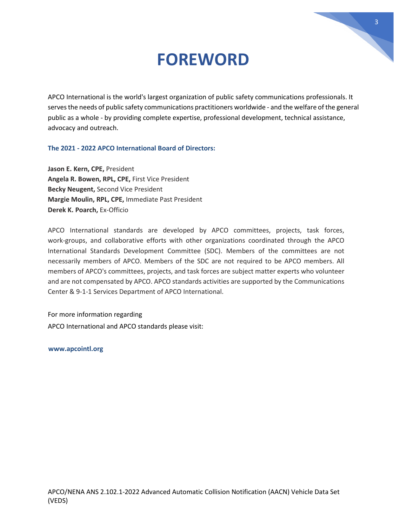## **FOREWORD**

APCO International is the world's largest organization of public safety communications professionals. It serves the needs of public safety communications practitioners worldwide - and the welfare of the general public as a whole - by providing complete expertise, professional development, technical assistance, advocacy and outreach.

#### **The 2021 - 2022 APCO International Board of Directors:**

**Jason E. Kern, CPE,** President **Angela R. Bowen, RPL, CPE,** First Vice President **Becky Neugent,** Second Vice President **Margie Moulin, RPL, CPE,** Immediate Past President **Derek K. Poarch,** Ex-Officio

APCO International standards are developed by APCO committees, projects, task forces, work-groups, and collaborative efforts with other organizations coordinated through the APCO International Standards Development Committee (SDC). Members of the committees are not necessarily members of APCO. Members of the SDC are not required to be APCO members. All members of APCO's committees, projects, and task forces are subject matter experts who volunteer and are not compensated by APCO. APCO standards activities are supported by the Communications Center & 9-1-1 Services Department of APCO International.

For more information regarding APCO International and APCO standards please visit:

**[www.apcointl.org](http://www.apcointl.org/)**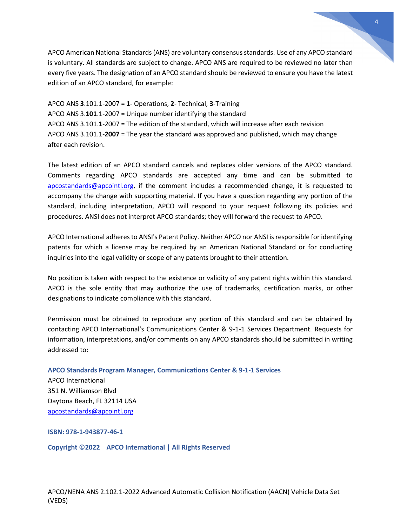APCO American National Standards (ANS) are voluntary consensus standards. Use of any APCO standard is voluntary. All standards are subject to change. APCO ANS are required to be reviewed no later than every five years. The designation of an APCO standard should be reviewed to ensure you have the latest edition of an APCO standard, for example:

APCO ANS **3**.101.1-2007 = **1**- Operations, **2**- Technical, **3**-Training APCO ANS 3.**101**.1-2007 = Unique number identifying the standard APCO ANS 3.101.**1**-2007 = The edition of the standard, which will increase after each revision APCO ANS 3.101.1-**2007** = The year the standard was approved and published, which may change after each revision.

The latest edition of an APCO standard cancels and replaces older versions of the APCO standard. Comments regarding APCO standards are accepted any time and can be submitted to [apcostandards@apcointl.org,](mailto:apcostandards@apcointl.org) if the comment includes a recommended change, it is requested to accompany the change with supporting material. If you have a question regarding any portion of the standard, including interpretation, APCO will respond to your request following its policies and procedures. ANSI does not interpret APCO standards; they will forward the request to APCO.

APCO International adheres to ANSI's Patent Policy. Neither APCO nor ANSI is responsible for identifying patents for which a license may be required by an American National Standard or for conducting inquiries into the legal validity or scope of any patents brought to their attention.

No position is taken with respect to the existence or validity of any patent rights within this standard. APCO is the sole entity that may authorize the use of trademarks, certification marks, or other designations to indicate compliance with this standard.

Permission must be obtained to reproduce any portion of this standard and can be obtained by contacting APCO International's Communications Center & 9-1-1 Services Department. Requests for information, interpretations, and/or comments on any APCO standards should be submitted in writing addressed to:

**APCO Standards Program Manager, Communications Center & 9-1-1 Services**

APCO International 351 N. Williamson Blvd Daytona Beach, FL 32114 USA [apcostandards@apcointl.org](mailto:apcostandards@apcointl.org)

**ISBN: 978-1-943877-46-1**

**Copyright ©2022 APCO International | All Rights Reserved**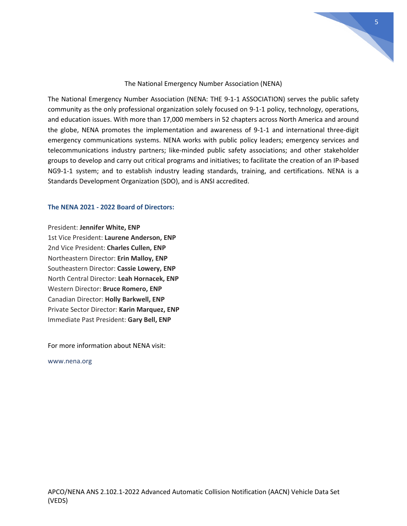

#### The National Emergency Number Association (NENA)

The National Emergency Number Association (NENA: THE 9-1-1 ASSOCIATION) serves the public safety community as the only professional organization solely focused on 9-1-1 policy, technology, operations, and education issues. With more than 17,000 members in 52 chapters across North America and around the globe, NENA promotes the implementation and awareness of 9-1-1 and international three-digit emergency communications systems. NENA works with public policy leaders; emergency services and telecommunications industry partners; like-minded public safety associations; and other stakeholder groups to develop and carry out critical programs and initiatives; to facilitate the creation of an IP-based NG9-1-1 system; and to establish industry leading standards, training, and certifications. NENA is a Standards Development Organization (SDO), and is ANSI accredited.

#### **The NENA 2021 - 2022 Board of Directors:**

#### President: **Jennifer White, ENP**

1st Vice President: **Laurene Anderson, ENP** 2nd Vice President: **Charles Cullen, ENP** Northeastern Director: **Erin Malloy, ENP** Southeastern Director: **Cassie Lowery, ENP** North Central Director: **Leah Hornacek, ENP** Western Director: **Bruce Romero, ENP** Canadian Director: **Holly Barkwell, ENP** Private Sector Director: **Karin Marquez, ENP** Immediate Past President: **Gary Bell, ENP**

For more information about NENA visit:

www.nena.org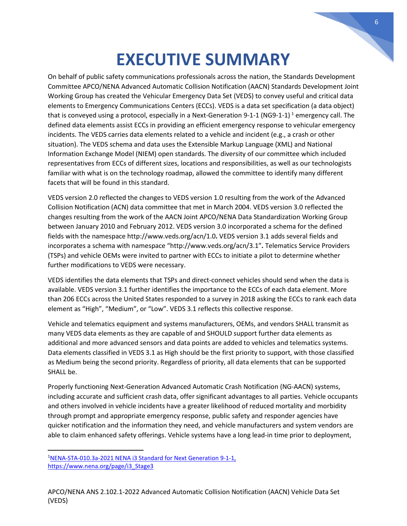# **EXECUTIVE SUMMARY**

On behalf of public safety communications professionals across the nation, the Standards Development Committee APCO/NENA Advanced Automatic Collision Notification (AACN) Standards Development Joint Working Group has created the Vehicular Emergency Data Set (VEDS) to convey useful and critical data elements to Emergency Communications Centers (ECCs). VEDS is a data set specification (a data object) that is conveyed using a protocol, especially in a Next-Generation 9-[1](#page-5-0)-1 (NG9-1-1)<sup>1</sup> emergency call. The defined data elements assist ECCs in providing an efficient emergency response to vehicular emergency incidents. The VEDS carries data elements related to a vehicle and incident (e.g., a crash or other situation). The VEDS schema and data uses the Extensible Markup Language (XML) and National Information Exchange Model (NIEM) open standards. The diversity of our committee which included representatives from ECCs of different sizes, locations and responsibilities, as well as our technologists familiar with what is on the technology roadmap, allowed the committee to identify many different facets that will be found in this standard.

VEDS version 2.0 reflected the changes to VEDS version 1.0 resulting from the work of the Advanced Collision Notification (ACN) data committee that met in March 2004. VEDS version 3.0 reflected the changes resulting from the work of the AACN Joint APCO/NENA Data Standardization Working Group between January 2010 and February 2012. VEDS version 3.0 incorporated a schema for the defined fields with the namespace http://www.veds.org/acn/1.0**.** VEDS version 3.1 adds several fields and incorporates a schema with namespace "http://www.veds.org/acn/3.1"**.** Telematics Service Providers (TSPs) and vehicle OEMs were invited to partner with ECCs to initiate a pilot to determine whether further modifications to VEDS were necessary.

VEDS identifies the data elements that TSPs and direct-connect vehicles should send when the data is available. VEDS version 3.1 further identifies the importance to the ECCs of each data element. More than 206 ECCs across the United States responded to a survey in 2018 asking the ECCs to rank each data element as "High", "Medium", or "Low". VEDS 3.1 reflects this collective response.

Vehicle and telematics equipment and systems manufacturers, OEMs, and vendors SHALL transmit as many VEDS data elements as they are capable of and SHOULD support further data elements as additional and more advanced sensors and data points are added to vehicles and telematics systems. Data elements classified in VEDS 3.1 as High should be the first priority to support, with those classified as Medium being the second priority. Regardless of priority, all data elements that can be supported SHALL be.

Properly functioning Next-Generation Advanced Automatic Crash Notification (NG-AACN) systems, including accurate and sufficient crash data, offer significant advantages to all parties. Vehicle occupants and others involved in vehicle incidents have a greater likelihood of reduced mortality and morbidity through prompt and appropriate emergency response, public safety and responder agencies have quicker notification and the information they need, and vehicle manufacturers and system vendors are able to claim enhanced safety offerings. Vehicle systems have a long lead-in time prior to deployment,

<span id="page-5-0"></span><sup>&</sup>lt;sup>1</sup>[NENA-STA-010.3a-2021 NENA i3 Standard for Next Generation 9-1-1,](https://www.nena.org/page/i3_Stage3) [https://www.nena.org/page/i3\\_Stage3](https://www.nena.org/page/i3_Stage3)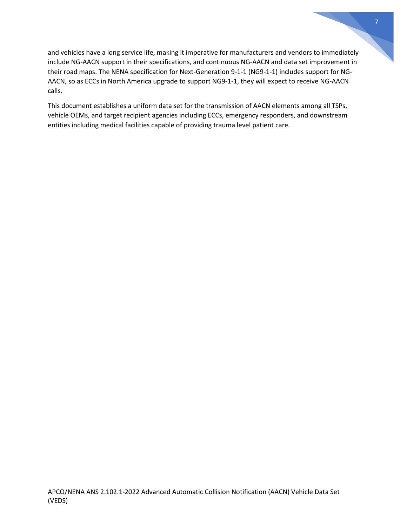and vehicles have a long service life, making it imperative for manufacturers and vendors to immediately include NG-AACN support in their specifications, and continuous NG-AACN and data set improvement in their road maps. The NENA specification for Next-Generation 9-1-1 (NG9-1-1) includes support for NG-AACN, so as ECCs in North America upgrade to support NG9-1-1, they will expect to receive NG-AACN calls.

This document establishes a uniform data set for the transmission of AACN elements among all TSPs, vehicle OEMs, and target recipient agencies including ECCs, emergency responders, and downstream entities including medical facilities capable of providing trauma level patient care.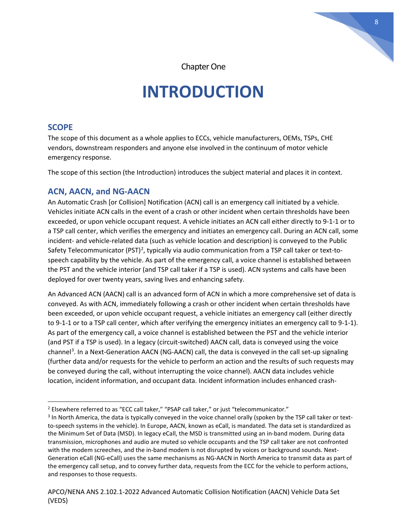

Chapter One

# **INTRODUCTION**

### **SCOPE**

The scope of this document as a whole applies to ECCs, vehicle manufacturers, OEMs, TSPs, CHE vendors, downstream responders and anyone else involved in the continuum of motor vehicle emergency response.

The scope of this section (the Introduction) introduces the subject material and places it in context.

### **ACN, AACN, and NG-AACN**

An Automatic Crash [or Collision] Notification (ACN) call is an emergency call initiated by a vehicle. Vehicles initiate ACN calls in the event of a crash or other incident when certain thresholds have been exceeded, or upon vehicle occupant request. A vehicle initiates an ACN call either directly to 9-1-1 or to a TSP call center, which verifies the emergency and initiates an emergency call. During an ACN call, some incident- and vehicle-related data (such as vehicle location and description) is conveyed to the Public Safety Telecommunicator (PST)<sup>[2](#page-7-0)</sup>, typically via audio communication from a TSP call taker or text-tospeech capability by the vehicle. As part of the emergency call, a voice channel is established between the PST and the vehicle interior (and TSP call taker if a TSP is used). ACN systems and calls have been deployed for over twenty years, saving lives and enhancing safety.

An Advanced ACN (AACN) call is an advanced form of ACN in which a more comprehensive set of data is conveyed. As with ACN, immediately following a crash or other incident when certain thresholds have been exceeded, or upon vehicle occupant request, a vehicle initiates an emergency call (either directly to 9-1-1 or to a TSP call center, which after verifying the emergency initiates an emergency call to 9-1-1). As part of the emergency call, a voice channel is established between the PST and the vehicle interior (and PST if a TSP is used). In a legacy (circuit-switched) AACN call, data is conveyed using the voice channel<sup>[3](#page-7-1)</sup>. In a Next-Generation AACN (NG-AACN) call, the data is conveyed in the call set-up signaling (further data and/or requests for the vehicle to perform an action and the results of such requests may be conveyed during the call, without interrupting the voice channel). AACN data includes vehicle location, incident information, and occupant data. Incident information includes enhanced crash-

<span id="page-7-0"></span><sup>&</sup>lt;sup>2</sup> Elsewhere referred to as "ECC call taker," "PSAP call taker," or just "telecommunicator."

<span id="page-7-1"></span><sup>&</sup>lt;sup>3</sup> In North America, the data is typically conveyed in the voice channel orally (spoken by the TSP call taker or textto-speech systems in the vehicle). In Europe, AACN, known as eCall, is mandated. The data set is standardized as the Minimum Set of Data (MSD). In legacy eCall, the MSD is transmitted using an in-band modem. During data transmission, microphones and audio are muted so vehicle occupants and the TSP call taker are not confronted with the modem screeches, and the in-band modem is not disrupted by voices or background sounds. Next-Generation eCall (NG-eCall) uses the same mechanisms as NG-AACN in North America to transmit data as part of the emergency call setup, and to convey further data, requests from the ECC for the vehicle to perform actions, and responses to those requests.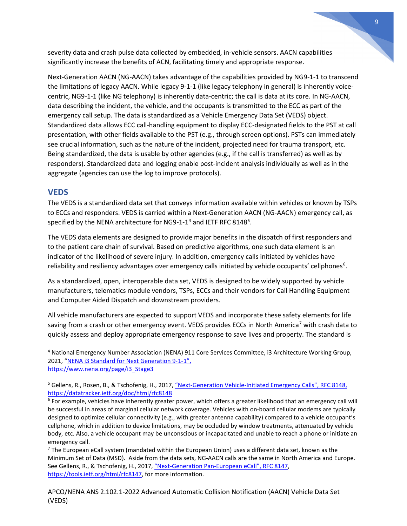severity data and crash pulse data collected by embedded, in-vehicle sensors. AACN capabilities significantly increase the benefits of ACN, facilitating timely and appropriate response.

Next-Generation AACN (NG-AACN) takes advantage of the capabilities provided by NG9-1-1 to transcend the limitations of legacy AACN. While legacy 9-1-1 (like legacy telephony in general) is inherently voicecentric, NG9-1-1 (like NG telephony) is inherently data-centric; the call is data at its core. In NG-AACN, data describing the incident, the vehicle, and the occupants is transmitted to the ECC as part of the emergency call setup. The data is standardized as a Vehicle Emergency Data Set (VEDS) object. Standardized data allows ECC call-handling equipment to display ECC-designated fields to the PST at call presentation, with other fields available to the PST (e.g., through screen options). PSTs can immediately see crucial information, such as the nature of the incident, projected need for trauma transport, etc. Being standardized, the data is usable by other agencies (e.g., if the call is transferred) as well as by responders). Standardized data and logging enable post-incident analysis individually as well as in the aggregate (agencies can use the log to improve protocols).

### **VEDS**

The VEDS is a standardized data set that conveys information available within vehicles or known by TSPs to ECCs and responders. VEDS is carried within a Next-Generation AACN (NG-AACN) emergency call, as specified by the NENA architecture for NG9-1-1<sup>[4](#page-8-0)</sup> and IETF RFC 8148<sup>[5](#page-8-1)</sup>.

The VEDS data elements are designed to provide major benefits in the dispatch of first responders and to the patient care chain of survival. Based on predictive algorithms, one such data element is an indicator of the likelihood of severe injury. In addition, emergency calls initiated by vehicles have reliability and resiliency advantages over emergency calls initiated by vehicle occupants' cellphones<sup>[6](#page-8-2)</sup>.

As a standardized, open, interoperable data set, VEDS is designed to be widely supported by vehicle manufacturers, telematics module vendors, TSPs, ECCs and their vendors for Call Handling Equipment and Computer Aided Dispatch and downstream providers.

All vehicle manufacturers are expected to support VEDS and incorporate these safety elements for life saving from a crash or other emergency event. VEDS provides ECCs in North America<sup>[7](#page-8-3)</sup> with crash data to quickly assess and deploy appropriate emergency response to save lives and property. The standard is

<span id="page-8-0"></span><sup>4</sup> National Emergency Number Association (NENA) 911 Core Services Committee, i3 Architecture Working Group, 2021, ["NENA i3 Standard for Next Generation 9](https://www.nena.org/page/i3_Stage3)-1-1", [https://www.nena.org/page/i3\\_Stage3](https://www.nena.org/page/i3_Stage3)

<span id="page-8-1"></span><sup>&</sup>lt;sup>5</sup> Gellens, R., Rosen, B., & Tschofenig, H., 2017[, "Next-Generation Vehicle-Initiated Emergency Calls", RFC 8148,](https://datatracker.ietf.org/doc/html/rfc8148) https://datatracker.ietf.org/doc/html/rfc8148

<span id="page-8-2"></span> $6$  For example, vehicles have inherently greater power, which offers a greater likelihood that an emergency call will be successful in areas of marginal cellular network coverage. Vehicles with on-board cellular modems are typically designed to optimize cellular connectivity (e.g., with greater antenna capability) compared to a vehicle occupant's cellphone, which in addition to device limitations, may be occluded by window treatments, attenuated by vehicle body, etc. Also, a vehicle occupant may be unconscious or incapacitated and unable to reach a phone or initiate an emergency call.

<span id="page-8-3"></span> $<sup>7</sup>$  The European eCall system (mandated within the European Union) uses a different data set, known as the</sup> Minimum Set of Data (MSD). Aside from the data sets, NG-AACN calls are the same in North America and Europe. See Gellens, R., & Tschofenig, H., 2017, "Next-Generation Pan-European eCall", RFC 8147, [https://tools.ietf.org/html/rfc8147,](https://tools.ietf.org/html/rfc8147) for more information.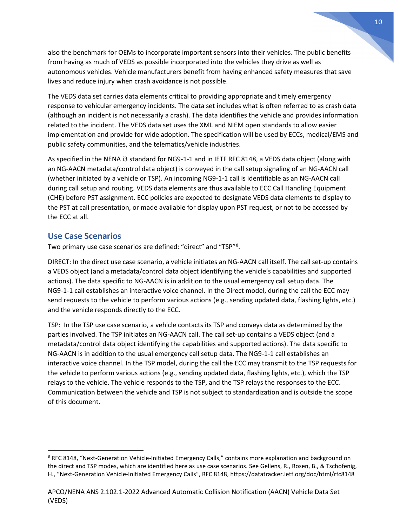also the benchmark for OEMs to incorporate important sensors into their vehicles. The public benefits from having as much of VEDS as possible incorporated into the vehicles they drive as well as autonomous vehicles. Vehicle manufacturers benefit from having enhanced safety measures that save lives and reduce injury when crash avoidance is not possible.

The VEDS data set carries data elements critical to providing appropriate and timely emergency response to vehicular emergency incidents. The data set includes what is often referred to as crash data (although an incident is not necessarily a crash). The data identifies the vehicle and provides information related to the incident. The VEDS data set uses the XML and NIEM open standards to allow easier implementation and provide for wide adoption. The specification will be used by ECCs, medical/EMS and public safety communities, and the telematics/vehicle industries.

As specified in the NENA i3 standard for NG9-1-1 and in IETF RFC 8148, a VEDS data object (along with an NG-AACN metadata/control data object) is conveyed in the call setup signaling of an NG-AACN call (whether initiated by a vehicle or TSP). An incoming NG9-1-1 call is identifiable as an NG-AACN call during call setup and routing. VEDS data elements are thus available to ECC Call Handling Equipment (CHE) before PST assignment. ECC policies are expected to designate VEDS data elements to display to the PST at call presentation, or made available for display upon PST request, or not to be accessed by the ECC at all.

### **Use Case Scenarios**

Two primary use case scenarios are defined: "direct" and "TSP"<sup>[8](#page-9-0)</sup>.

DIRECT: In the direct use case scenario, a vehicle initiates an NG-AACN call itself. The call set-up contains a VEDS object (and a metadata/control data object identifying the vehicle's capabilities and supported actions). The data specific to NG-AACN is in addition to the usual emergency call setup data. The NG9-1-1 call establishes an interactive voice channel. In the Direct model, during the call the ECC may send requests to the vehicle to perform various actions (e.g., sending updated data, flashing lights, etc.) and the vehicle responds directly to the ECC.

TSP: In the TSP use case scenario, a vehicle contacts its TSP and conveys data as determined by the parties involved. The TSP initiates an NG-AACN call. The call set-up contains a VEDS object (and a metadata/control data object identifying the capabilities and supported actions). The data specific to NG-AACN is in addition to the usual emergency call setup data. The NG9-1-1 call establishes an interactive voice channel. In the TSP model, during the call the ECC may transmit to the TSP requests for the vehicle to perform various actions (e.g., sending updated data, flashing lights, etc.), which the TSP relays to the vehicle. The vehicle responds to the TSP, and the TSP relays the responses to the ECC. Communication between the vehicle and TSP is not subject to standardization and is outside the scope of this document.

<span id="page-9-0"></span><sup>&</sup>lt;sup>8</sup> RFC 8148, "Next-Generation Vehicle-Initiated Emergency Calls," contains more explanation and background on the direct and TSP modes, which are identified here as use case scenarios. See Gellens, R., Rosen, B., & Tschofenig, H., "Next-Generation Vehicle-Initiated Emergency Calls", RFC 8148, https://datatracker.ietf.org/doc/html/rfc8148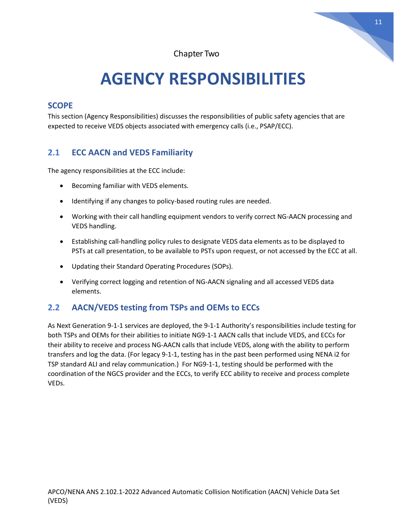Chapter Two

# **AGENCY RESPONSIBILITIES**

### **SCOPE**

This section (Agency Responsibilities) discusses the responsibilities of public safety agencies that are expected to receive VEDS objects associated with emergency calls (i.e., PSAP/ECC).

## **2.1 ECC AACN and VEDS Familiarity**

The agency responsibilities at the ECC include:

- Becoming familiar with VEDS elements.
- Identifying if any changes to policy-based routing rules are needed.
- Working with their call handling equipment vendors to verify correct NG-AACN processing and VEDS handling.
- Establishing call-handling policy rules to designate VEDS data elements as to be displayed to PSTs at call presentation, to be available to PSTs upon request, or not accessed by the ECC at all.
- Updating their Standard Operating Procedures (SOPs).
- Verifying correct logging and retention of NG-AACN signaling and all accessed VEDS data elements.

## **2.2 AACN/VEDS testing from TSPs and OEMs to ECCs**

As Next Generation 9-1-1 services are deployed, the 9-1-1 Authority's responsibilities include testing for both TSPs and OEMs for their abilities to initiate NG9-1-1 AACN calls that include VEDS, and ECCs for their ability to receive and process NG-AACN calls that include VEDS, along with the ability to perform transfers and log the data. (For legacy 9-1-1, testing has in the past been performed using NENA i2 for TSP standard ALI and relay communication.) For NG9-1-1, testing should be performed with the coordination of the NGCS provider and the ECCs, to verify ECC ability to receive and process complete VEDs.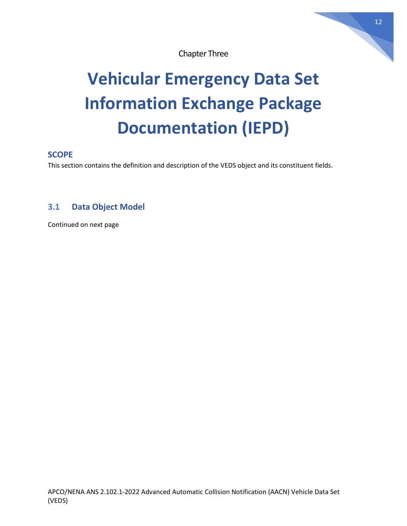

# **Vehicular Emergency Data Set Information Exchange Package Documentation (IEPD)**

## **SCOPE**

This section contains the definition and description of the VEDS object and its constituent fields.

## **3.1 Data Object Model**

Continued on next page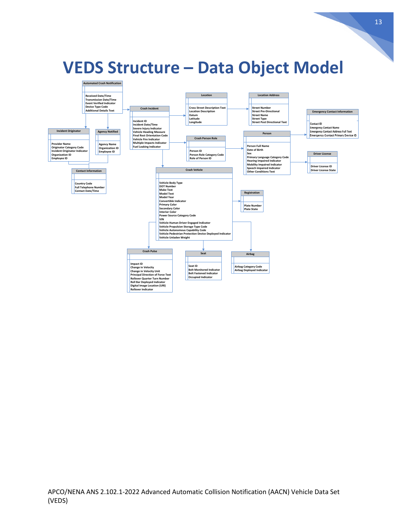

## **VEDS Structure – Data Object Model**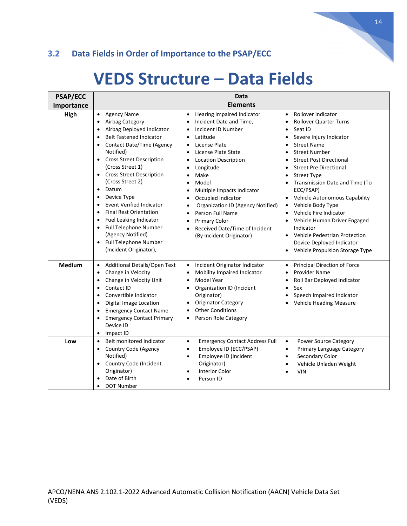## **3.2 Data Fields in Order of Importance to the PSAP/ECC**

## **VEDS Structure – Data Fields**

| <b>PSAP/ECC</b> |                                                                                                                                                                                                                                                                                                                                                                                                                                                                                                                                                                                                                                                              | Data                                                                                                                                                                                                                                                                                                                                                                                                                                                                                                                               |                                                                                                                                                                                                                                                                                                                                                                                                                                                                                                                                                                                                                                      |  |
|-----------------|--------------------------------------------------------------------------------------------------------------------------------------------------------------------------------------------------------------------------------------------------------------------------------------------------------------------------------------------------------------------------------------------------------------------------------------------------------------------------------------------------------------------------------------------------------------------------------------------------------------------------------------------------------------|------------------------------------------------------------------------------------------------------------------------------------------------------------------------------------------------------------------------------------------------------------------------------------------------------------------------------------------------------------------------------------------------------------------------------------------------------------------------------------------------------------------------------------|--------------------------------------------------------------------------------------------------------------------------------------------------------------------------------------------------------------------------------------------------------------------------------------------------------------------------------------------------------------------------------------------------------------------------------------------------------------------------------------------------------------------------------------------------------------------------------------------------------------------------------------|--|
| Importance      | <b>Elements</b>                                                                                                                                                                                                                                                                                                                                                                                                                                                                                                                                                                                                                                              |                                                                                                                                                                                                                                                                                                                                                                                                                                                                                                                                    |                                                                                                                                                                                                                                                                                                                                                                                                                                                                                                                                                                                                                                      |  |
| High            | <b>Agency Name</b><br>$\bullet$<br>Airbag Category<br>$\bullet$<br>Airbag Deployed Indicator<br>$\bullet$<br><b>Belt Fastened Indicator</b><br>$\bullet$<br>Contact Date/Time (Agency<br>$\bullet$<br>Notified)<br><b>Cross Street Description</b><br>$\bullet$<br>(Cross Street 1)<br><b>Cross Street Description</b><br>$\bullet$<br>(Cross Street 2)<br>Datum<br>$\bullet$<br>Device Type<br>$\bullet$<br><b>Event Verified Indicator</b><br>$\bullet$<br><b>Final Rest Orientation</b><br>$\bullet$<br>Fuel Leaking Indicator<br>$\bullet$<br>Full Telephone Number<br>$\bullet$<br>(Agency Notified)<br>Full Telephone Number<br>(Incident Originator), | <b>Hearing Impaired Indicator</b><br>$\bullet$<br>Incident Date and Time,<br>$\bullet$<br>Incident ID Number<br>Latitude<br>$\bullet$<br>License Plate<br>$\bullet$<br>License Plate State<br>$\bullet$<br><b>Location Description</b><br>$\bullet$<br>Longitude<br>Make<br>Model<br>Multiple Impacts Indicator<br>Occupied Indicator<br><b>Organization ID (Agency Notified)</b><br>Person Full Name<br>$\bullet$<br><b>Primary Color</b><br>$\bullet$<br>Received Date/Time of Incident<br>$\bullet$<br>(By Incident Originator) | Rollover Indicator<br>$\bullet$<br><b>Rollover Quarter Turns</b><br>$\bullet$<br>Seat ID<br>$\bullet$<br>Severe Injury Indicator<br>٠<br><b>Street Name</b><br>$\bullet$<br><b>Street Number</b><br>$\bullet$<br><b>Street Post Directional</b><br>$\bullet$<br><b>Street Pre Directional</b><br><b>Street Type</b><br>٠<br>Transmission Date and Time (To<br>ECC/PSAP)<br>Vehicle Autonomous Capability<br>Vehicle Body Type<br>$\bullet$<br>Vehicle Fire Indicator<br>$\bullet$<br>Vehicle Human Driver Engaged<br>Indicator<br>Vehicle Pedestrian Protection<br>٠<br>Device Deployed Indicator<br>Vehicle Propulsion Storage Type |  |
| <b>Medium</b>   | Additional Details/Open Text<br>$\bullet$<br>Change in Velocity<br>$\bullet$<br>Change in Velocity Unit<br>$\bullet$<br>Contact ID<br>$\bullet$<br>Convertible Indicator<br>$\bullet$<br>Digital Image Location<br>$\bullet$<br><b>Emergency Contact Name</b><br>$\bullet$<br><b>Emergency Contact Primary</b><br>$\bullet$<br>Device ID<br>Impact ID<br>٠                                                                                                                                                                                                                                                                                                   | Incident Originator Indicator<br>$\bullet$<br>Mobility Impaired Indicator<br>$\bullet$<br>Model Year<br>$\bullet$<br>Organization ID (Incident<br>$\bullet$<br>Originator)<br><b>Originator Category</b><br>$\bullet$<br><b>Other Conditions</b><br>Person Role Category<br>$\bullet$                                                                                                                                                                                                                                              | Principal Direction of Force<br>$\bullet$<br><b>Provider Name</b><br>$\bullet$<br>Roll Bar Deployed Indicator<br>$\bullet$<br>Sex<br>$\bullet$<br>Speech Impaired Indicator<br><b>Vehicle Heading Measure</b>                                                                                                                                                                                                                                                                                                                                                                                                                        |  |
| Low             | Belt monitored Indicator<br>$\bullet$<br>Country Code (Agency<br>$\bullet$<br>Notified)<br>Country Code (Incident<br>$\bullet$<br>Originator)<br>Date of Birth<br><b>DOT Number</b><br>$\bullet$                                                                                                                                                                                                                                                                                                                                                                                                                                                             | <b>Emergency Contact Address Full</b><br>$\bullet$<br>Employee ID (ECC/PSAP)<br>$\bullet$<br>Employee ID (Incident<br>$\bullet$<br>Originator)<br><b>Interior Color</b><br>$\bullet$<br>Person ID                                                                                                                                                                                                                                                                                                                                  | <b>Power Source Category</b><br>$\bullet$<br>Primary Language Category<br>$\bullet$<br>Secondary Color<br>$\bullet$<br>Vehicle Unladen Weight<br><b>VIN</b>                                                                                                                                                                                                                                                                                                                                                                                                                                                                          |  |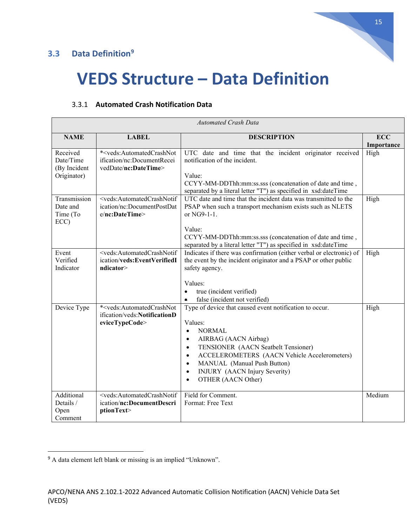## **3.3 Data Definition[9](#page-14-0)**



# **VEDS Structure – Data Definition**

|                                                      | <b>Automated Crash Data</b>                                                                                     |                                                                                                                                                                                                                                                                                                                                                                                            |                          |  |
|------------------------------------------------------|-----------------------------------------------------------------------------------------------------------------|--------------------------------------------------------------------------------------------------------------------------------------------------------------------------------------------------------------------------------------------------------------------------------------------------------------------------------------------------------------------------------------------|--------------------------|--|
| <b>NAME</b>                                          | <b>LABEL</b>                                                                                                    | <b>DESCRIPTION</b>                                                                                                                                                                                                                                                                                                                                                                         | <b>ECC</b><br>Importance |  |
| Received<br>Date/Time<br>(By Incident<br>Originator) | * <veds:automatedcrashnot<br>ification/nc:DocumentRecei<br/>vedDate/nc:DateTime&gt;</veds:automatedcrashnot<br> | UTC date and time that the incident originator received<br>notification of the incident.<br>Value:<br>CCYY-MM-DDThh:mm:ss.sss (concatenation of date and time,<br>separated by a literal letter "T") as specified in xsd:dateTime                                                                                                                                                          | High                     |  |
| Transmission<br>Date and<br>Time (To<br>ECC)         | <veds:automatedcrashnotif<br>ication/nc:DocumentPostDat<br/>e/nc:DateTime&gt;</veds:automatedcrashnotif<br>     | UTC date and time that the incident data was transmitted to the<br>PSAP when such a transport mechanism exists such as NLETS<br>or NG9-1-1.<br>Value:<br>CCYY-MM-DDThh:mm:ss.sss (concatenation of date and time,<br>separated by a literal letter "T") as specified in xsd:dateTime                                                                                                       | High                     |  |
| Event<br>Verified<br>Indicator                       | <veds:automatedcrashnotif<br>ication/veds:EventVerifiedI<br/>ndicator&gt;</veds:automatedcrashnotif<br>         | Indicates if there was confirmation (either verbal or electronic) of<br>the event by the incident originator and a PSAP or other public<br>safety agency.<br>Values:<br>true (incident verified)<br>$\bullet$<br>false (incident not verified)<br>$\bullet$                                                                                                                                | High                     |  |
| Device Type                                          | * <veds:automatedcrashnot<br>ification/veds:NotificationD<br/>eviceTypeCode&gt;</veds:automatedcrashnot<br>     | Type of device that caused event notification to occur.<br>Values:<br><b>NORMAL</b><br>$\bullet$<br>AIRBAG (AACN Airbag)<br>$\bullet$<br>TENSIONER (AACN Seatbelt Tensioner)<br>$\bullet$<br>ACCELEROMETERS (AACN Vehicle Accelerometers)<br>$\bullet$<br>MANUAL (Manual Push Button)<br>$\bullet$<br><b>INJURY</b> (AACN Injury Severity)<br>$\bullet$<br>OTHER (AACN Other)<br>$\bullet$ | High                     |  |
| Additional<br>Details /<br>Open<br>Comment           | <veds:automatedcrashnotif<br>ication/nc:DocumentDescri<br/>ptionText&gt;</veds:automatedcrashnotif<br>          | Field for Comment.<br>Format: Free Text                                                                                                                                                                                                                                                                                                                                                    | Medium                   |  |

#### 3.3.1 **Automated Crash Notification Data**

<span id="page-14-0"></span><sup>9</sup> A data element left blank or missing is an implied "Unknown".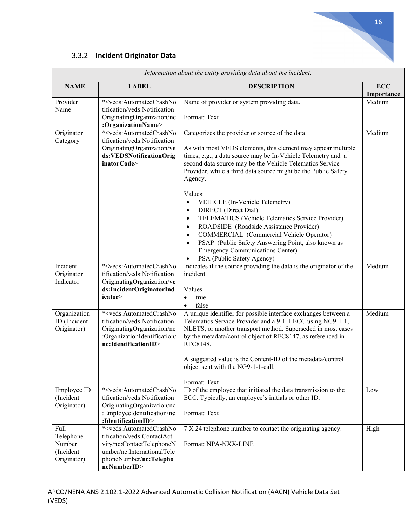

### 3.3.2 **Incident Originator Data**

| Information about the entity providing data about the incident. |                                                                                                                                                                                               |                                                                                                                                                                                                                                                                                                                                                                                                                                  |                          |
|-----------------------------------------------------------------|-----------------------------------------------------------------------------------------------------------------------------------------------------------------------------------------------|----------------------------------------------------------------------------------------------------------------------------------------------------------------------------------------------------------------------------------------------------------------------------------------------------------------------------------------------------------------------------------------------------------------------------------|--------------------------|
| <b>NAME</b>                                                     | <b>LABEL</b>                                                                                                                                                                                  | <b>DESCRIPTION</b>                                                                                                                                                                                                                                                                                                                                                                                                               | <b>ECC</b><br>Importance |
| Provider<br>Name                                                | * <veds:automatedcrashno<br>tification/veds:Notification<br/>OriginatingOrganization/nc<br/>:OrganizationName&gt;</veds:automatedcrashno<br>                                                  | Name of provider or system providing data.<br>Format: Text                                                                                                                                                                                                                                                                                                                                                                       | Medium                   |
| Originator<br>Category                                          | * <veds:automatedcrashno<br>tification/veds:Notification<br/>OriginatingOrganization/ve<br/>ds:VEDSNotificationOrig<br/>inatorCode&gt;</veds:automatedcrashno<br>                             | Categorizes the provider or source of the data.<br>As with most VEDS elements, this element may appear multiple<br>times, e.g., a data source may be In-Vehicle Telemetry and a<br>second data source may be the Vehicle Telematics Service<br>Provider, while a third data source might be the Public Safety<br>Agency.                                                                                                         | Medium                   |
|                                                                 |                                                                                                                                                                                               | Values:<br>VEHICLE (In-Vehicle Telemetry)<br><b>DIRECT</b> (Direct Dial)<br>$\bullet$<br>TELEMATICS (Vehicle Telematics Service Provider)<br>$\bullet$<br>ROADSIDE (Roadside Assistance Provider)<br>$\bullet$<br>COMMERCIAL (Commercial Vehicle Operator)<br>$\bullet$<br>PSAP (Public Safety Answering Point, also known as<br>$\bullet$<br><b>Emergency Communications Center)</b><br>PSA (Public Safety Agency)<br>$\bullet$ |                          |
| Incident<br>Originator<br>Indicator                             | * <veds:automatedcrashno<br>tification/veds:Notification<br/>OriginatingOrganization/ve<br/>ds:IncidentOriginatorInd<br/>icator&gt;</veds:automatedcrashno<br>                                | Indicates if the source providing the data is the originator of the<br>incident.<br>Values:<br>true<br>$\bullet$<br>false<br>$\bullet$                                                                                                                                                                                                                                                                                           | Medium                   |
| Organization<br>ID (Incident<br>Originator)                     | * <veds:automatedcrashno<br>tification/veds:Notification<br/>OriginatingOrganization/nc<br/>:OrganizationIdentification/<br/>nc:IdentificationID&gt;</veds:automatedcrashno<br>               | A unique identifier for possible interface exchanges between a<br>Telematics Service Provider and a 9-1-1 ECC using NG9-1-1,<br>NLETS, or another transport method. Superseded in most cases<br>by the metadata/control object of RFC8147, as referenced in<br>RFC8148.<br>A suggested value is the Content-ID of the metadata/control<br>object sent with the NG9-1-1-call.<br>Format: Text                                     | Medium                   |
| Employee ID<br>(Incident<br>Originator)                         | * <veds:automatedcrashno<br>tification/veds:Notification<br/>OriginatingOrganization/nc<br/>:EmployeeIdentification/nc<br/>:IdentificationID&gt;</veds:automatedcrashno<br>                   | ID of the employee that initiated the data transmission to the<br>ECC. Typically, an employee's initials or other ID.<br>Format: Text                                                                                                                                                                                                                                                                                            | Low                      |
| Full<br>Telephone<br>Number<br>(Incident<br>Originator)         | * <veds:automatedcrashno<br>tification/veds:ContactActi<br/>vity/nc:ContactTelephoneN<br/>umber/nc:InternationalTele<br/>phoneNumber/nc:Telepho<br/>neNumberID&gt;</veds:automatedcrashno<br> | 7 X 24 telephone number to contact the originating agency.<br>Format: NPA-NXX-LINE                                                                                                                                                                                                                                                                                                                                               | High                     |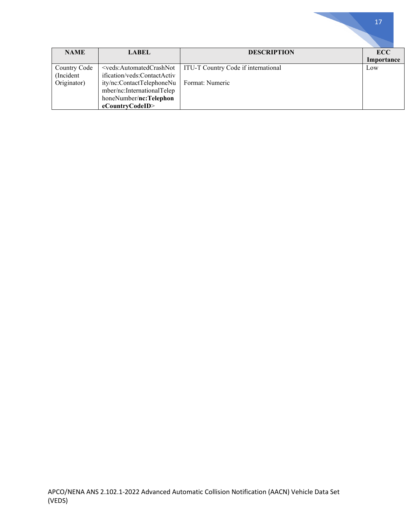| <b>NAME</b>  | <b>LABEL</b>                                                                                                      | <b>DESCRIPTION</b>                  | <b>ECC</b> |
|--------------|-------------------------------------------------------------------------------------------------------------------|-------------------------------------|------------|
|              |                                                                                                                   |                                     | Importance |
| Country Code | <veds:automatedcrashnot< td=""><td>ITU-T Country Code if international</td><td>Low</td></veds:automatedcrashnot<> | ITU-T Country Code if international | Low        |
| (Incident    | ification/veds:ContactActiv                                                                                       |                                     |            |
| Originator)  | ity/nc:ContactTelephoneNu                                                                                         | Format: Numeric                     |            |
|              | mber/nc:InternationalTelep                                                                                        |                                     |            |
|              | honeNumber/nc:Telephon                                                                                            |                                     |            |
|              | eCountryCodeID>                                                                                                   |                                     |            |

a n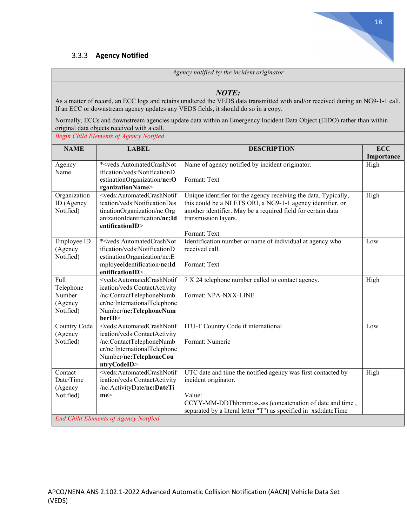#### 3.3.3 **Agency Notified**

*Agency notified by the incident originator*

#### *NOTE:*

As a matter of record, an ECC logs and retains unaltered the VEDS data transmitted with and/or received during an NG9-1-1 call. If an ECC or downstream agency updates any VEDS fields, it should do so in a copy.

Normally, ECCs and downstream agencies update data within an Emergency Incident Data Object (EIDO) rather than within original data objects received with a call.

*Begin Child Elements of Agency Notified*

| <b>NAME</b>  | <b>LABEL</b>                                                                                                                                       | <b>DESCRIPTION</b>                                              | <b>ECC</b> |
|--------------|----------------------------------------------------------------------------------------------------------------------------------------------------|-----------------------------------------------------------------|------------|
|              |                                                                                                                                                    |                                                                 | Importance |
| Agency       | * <veds:automatedcrashnot< td=""><td>Name of agency notified by incident originator.</td><td>High</td></veds:automatedcrashnot<>                   | Name of agency notified by incident originator.                 | High       |
| Name         | ification/veds:NotificationD                                                                                                                       |                                                                 |            |
|              | estinationOrganization/nc:O                                                                                                                        | Format: Text                                                    |            |
|              | rganizationName>                                                                                                                                   |                                                                 |            |
| Organization | <veds:automatedcrashnotif< td=""><td>Unique identifier for the agency receiving the data. Typically,</td><td>High</td></veds:automatedcrashnotif<> | Unique identifier for the agency receiving the data. Typically, | High       |
| ID (Agency   | ication/veds:NotificationDes                                                                                                                       | this could be a NLETS ORI, a NG9-1-1 agency identifier, or      |            |
| Notified)    | tinationOrganization/nc:Org                                                                                                                        | another identifier. May be a required field for certain data    |            |
|              | anizationIdentification/nc:Id                                                                                                                      | transmission layers.                                            |            |
|              | entificationID>                                                                                                                                    |                                                                 |            |
|              |                                                                                                                                                    | Format: Text                                                    |            |
| Employee ID  | * <veds:automatedcrashnot< td=""><td>Identification number or name of individual at agency who</td><td>Low</td></veds:automatedcrashnot<>          | Identification number or name of individual at agency who       | Low        |
| (Agency      | ification/veds:NotificationD                                                                                                                       | received call.                                                  |            |
| Notified)    | estinationOrganization/nc:E                                                                                                                        |                                                                 |            |
|              | mployeeIdentification/nc:Id                                                                                                                        | Format: Text                                                    |            |
|              | entificationID>                                                                                                                                    |                                                                 |            |
| Full         | <veds:automatedcrashnotif< td=""><td>7 X 24 telephone number called to contact agency.</td><td>High</td></veds:automatedcrashnotif<>               | 7 X 24 telephone number called to contact agency.               | High       |
| Telephone    | ication/veds:ContactActivity                                                                                                                       |                                                                 |            |
| Number       | /nc:ContactTelephoneNumb                                                                                                                           | Format: NPA-NXX-LINE                                            |            |
| (Agency      | er/nc:InternationalTelephone                                                                                                                       |                                                                 |            |
| Notified)    | Number/nc:TelephoneNum                                                                                                                             |                                                                 |            |
|              | berID>                                                                                                                                             |                                                                 |            |
| Country Code | <veds:automatedcrashnotif< td=""><td>ITU-T Country Code if international</td><td>Low</td></veds:automatedcrashnotif<>                              | ITU-T Country Code if international                             | Low        |
| (Agency      | ication/veds:ContactActivity                                                                                                                       |                                                                 |            |
| Notified)    | /nc:ContactTelephoneNumb                                                                                                                           | Format: Numeric                                                 |            |
|              | er/nc:InternationalTelephone                                                                                                                       |                                                                 |            |
|              | Number/nc:TelephoneCou                                                                                                                             |                                                                 |            |
|              | ntryCodeID>                                                                                                                                        |                                                                 |            |
| Contact      | <veds:automatedcrashnotif< td=""><td>UTC date and time the notified agency was first contacted by</td><td>High</td></veds:automatedcrashnotif<>    | UTC date and time the notified agency was first contacted by    | High       |
| Date/Time    | ication/veds:ContactActivity                                                                                                                       | incident originator.                                            |            |
| (Agency      | /nc:ActivityDate/nc:DateTi                                                                                                                         |                                                                 |            |
| Notified)    | me                                                                                                                                                 | Value:                                                          |            |
|              |                                                                                                                                                    | CCYY-MM-DDThh:mm:ss.sss (concatenation of date and time,        |            |
|              |                                                                                                                                                    | separated by a literal letter "T") as specified in xsd:dateTime |            |
|              | <b>End Child Elements of Agency Notified</b>                                                                                                       |                                                                 |            |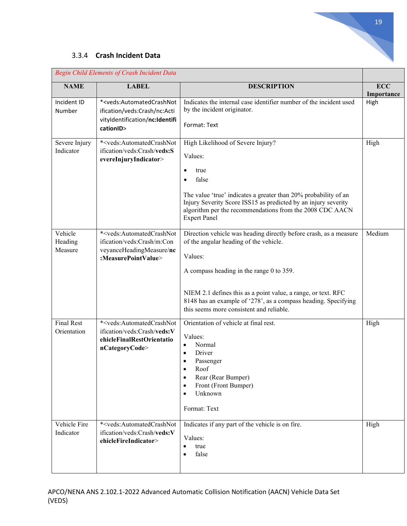### 3.3.4 **Crash Incident Data**

|                                  | <b>Begin Child Elements of Crash Incident Data</b>                                                                                          |                                                                                                                                                                                                                                                                                                                                                   |                          |
|----------------------------------|---------------------------------------------------------------------------------------------------------------------------------------------|---------------------------------------------------------------------------------------------------------------------------------------------------------------------------------------------------------------------------------------------------------------------------------------------------------------------------------------------------|--------------------------|
| <b>NAME</b>                      | <b>LABEL</b>                                                                                                                                | <b>DESCRIPTION</b>                                                                                                                                                                                                                                                                                                                                | <b>ECC</b><br>Importance |
| Incident ID<br>Number            | * <veds:automatedcrashnot<br>ification/veds:Crash/nc:Acti<br/>vityIdentification/nc:Identifi<br/>cationID&gt;</veds:automatedcrashnot<br>   | Indicates the internal case identifier number of the incident used<br>by the incident originator.<br>Format: Text                                                                                                                                                                                                                                 | High                     |
| Severe Injury<br>Indicator       | * <veds:automatedcrashnot<br>ification/veds:Crash/veds:S<br/>evereInjuryIndicator&gt;</veds:automatedcrashnot<br>                           | High Likelihood of Severe Injury?<br>Values:<br>true<br>$\bullet$<br>false<br>$\bullet$<br>The value 'true' indicates a greater than 20% probability of an<br>Injury Severity Score ISS15 as predicted by an injury severity<br>algorithm per the recommendations from the 2008 CDC AACN<br><b>Expert Panel</b>                                   | High                     |
| Vehicle<br>Heading<br>Measure    | * <veds:automatedcrashnot<br>ification/veds:Crash/m:Con<br/>veyanceHeadingMeasure/nc<br/>:MeasurePointValue&gt;</veds:automatedcrashnot<br> | Direction vehicle was heading directly before crash, as a measure<br>of the angular heading of the vehicle.<br>Values:<br>A compass heading in the range 0 to 359.<br>NIEM 2.1 defines this as a point value, a range, or text. RFC<br>8148 has an example of '278', as a compass heading. Specifying<br>this seems more consistent and reliable. | Medium                   |
| <b>Final Rest</b><br>Orientation | * <veds:automatedcrashnot<br>ification/veds:Crash/veds:V<br/>ehicleFinalRestOrientatio<br/>nCategoryCode&gt;</veds:automatedcrashnot<br>    | Orientation of vehicle at final rest.<br>Values:<br>Normal<br>$\bullet$<br>Driver<br>Passenger<br>$\bullet$<br>Roof<br>Rear (Rear Bumper)<br>٠<br>Front (Front Bumper)<br>٠<br>Unknown<br>$\bullet$<br>Format: Text                                                                                                                               | High                     |
| Vehicle Fire<br>Indicator        | * <veds:automatedcrashnot<br>ification/veds:Crash/veds:V<br/>ehicleFireIndicator&gt;</veds:automatedcrashnot<br>                            | Indicates if any part of the vehicle is on fire.<br>Values:<br>true<br>$\bullet$<br>false<br>$\bullet$                                                                                                                                                                                                                                            | High                     |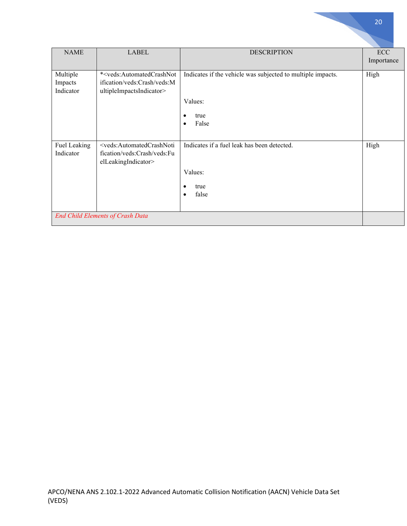| <b>NAME</b>                      | <b>LABEL</b>                                                                                                         | <b>DESCRIPTION</b>                                                                                                | <b>ECC</b><br>Importance |
|----------------------------------|----------------------------------------------------------------------------------------------------------------------|-------------------------------------------------------------------------------------------------------------------|--------------------------|
| Multiple<br>Impacts<br>Indicator | * <veds:automatedcrashnot<br>ification/veds:Crash/veds:M<br/>ultipleImpactsIndicator&gt;</veds:automatedcrashnot<br> | Indicates if the vehicle was subjected to multiple impacts.<br>Values:<br>true<br>$\bullet$<br>False<br>$\bullet$ | High                     |
| Fuel Leaking<br>Indicator        | <veds:automatedcrashnoti<br>fication/veds:Crash/veds:Fu<br/>elLeakingIndicator&gt;</veds:automatedcrashnoti<br>      | Indicates if a fuel leak has been detected.<br>Values:<br>true<br>$\bullet$<br>false<br>$\bullet$                 | High                     |
|                                  | <b>End Child Elements of Crash Data</b>                                                                              |                                                                                                                   |                          |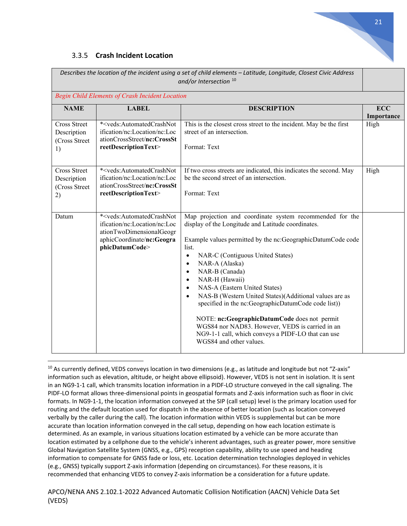

#### 3.3.5 **Crash Incident Location**

|                                                           |                                                                                                                                                                        | Describes the location of the incident using a set of child elements - Latitude, Longitude, Closest Civic Address<br>and/or Intersection <sup>10</sup>                                                                                                                                                                                                                                                                                                                                                                                                                                                                                                                                               |                          |
|-----------------------------------------------------------|------------------------------------------------------------------------------------------------------------------------------------------------------------------------|------------------------------------------------------------------------------------------------------------------------------------------------------------------------------------------------------------------------------------------------------------------------------------------------------------------------------------------------------------------------------------------------------------------------------------------------------------------------------------------------------------------------------------------------------------------------------------------------------------------------------------------------------------------------------------------------------|--------------------------|
|                                                           | Begin Child Elements of Crash Incident Location                                                                                                                        |                                                                                                                                                                                                                                                                                                                                                                                                                                                                                                                                                                                                                                                                                                      |                          |
| <b>NAME</b>                                               | <b>LABEL</b>                                                                                                                                                           | <b>DESCRIPTION</b>                                                                                                                                                                                                                                                                                                                                                                                                                                                                                                                                                                                                                                                                                   | <b>ECC</b><br>Importance |
| <b>Cross Street</b><br>Description<br>(Cross Street<br>1) | * <veds:automatedcrashnot<br>ification/nc:Location/nc:Loc<br/>ationCrossStreet/nc:CrossSt<br/>reetDescriptionText&gt;</veds:automatedcrashnot<br>                      | This is the closest cross street to the incident. May be the first<br>street of an intersection.<br>Format: Text                                                                                                                                                                                                                                                                                                                                                                                                                                                                                                                                                                                     | High                     |
| <b>Cross Street</b><br>Description<br>(Cross Street<br>2) | * <veds:automatedcrashnot<br>ification/nc:Location/nc:Loc<br/>ationCrossStreet/nc:CrossSt<br/>reetDescriptionText&gt;</veds:automatedcrashnot<br>                      | If two cross streets are indicated, this indicates the second. May<br>be the second street of an intersection.<br>Format: Text                                                                                                                                                                                                                                                                                                                                                                                                                                                                                                                                                                       | High                     |
| Datum                                                     | * <veds:automatedcrashnot<br>ification/nc:Location/nc:Loc<br/>ationTwoDimensionalGeogr<br/>aphicCoordinate/nc:Geogra<br/>phicDatumCode&gt;</veds:automatedcrashnot<br> | Map projection and coordinate system recommended for the<br>display of the Longitude and Latitude coordinates.<br>Example values permitted by the nc:GeographicDatumCode code<br>list.<br>NAR-C (Contiguous United States)<br>$\bullet$<br>NAR-A (Alaska)<br>$\bullet$<br>NAR-B (Canada)<br>$\bullet$<br>NAR-H (Hawaii)<br>$\bullet$<br>NAS-A (Eastern United States)<br>$\bullet$<br>NAS-B (Western United States)(Additional values are as<br>$\bullet$<br>specified in the nc:GeographicDatumCode code list))<br>NOTE: nc:GeographicDatumCode does not permit<br>WGS84 nor NAD83. However, VEDS is carried in an<br>NG9-1-1 call, which conveys a PIDF-LO that can use<br>WGS84 and other values. |                          |

<span id="page-20-0"></span><sup>&</sup>lt;sup>10</sup> As currently defined, VEDS conveys location in two dimensions (e.g., as latitude and longitude but not "Z-axis" information such as elevation, altitude, or height above ellipsoid). However, VEDS is not sent in isolation. It is sent in an NG9-1-1 call, which transmits location information in a PIDF-LO structure conveyed in the call signaling. The PIDF-LO format allows three-dimensional points in geospatial formats and Z-axis information such as floor in civic formats. In NG9-1-1, the location information conveyed at the SIP (call setup) level is the primary location used for routing and the default location used for dispatch in the absence of better location (such as location conveyed verbally by the caller during the call). The location information within VEDS is supplemental but can be more accurate than location information conveyed in the call setup, depending on how each location estimate is determined. As an example, in various situations location estimated by a vehicle can be more accurate than location estimated by a cellphone due to the vehicle's inherent advantages, such as greater power, more sensitive Global Navigation Satellite System (GNSS, e.g., GPS) reception capability, ability to use speed and heading information to compensate for GNSS fade or loss, etc. Location determination technologies deployed in vehicles (e.g., GNSS) typically support Z-axis information (depending on circumstances). For these reasons, it is recommended that enhancing VEDS to convey Z-axis information be a consideration for a future update.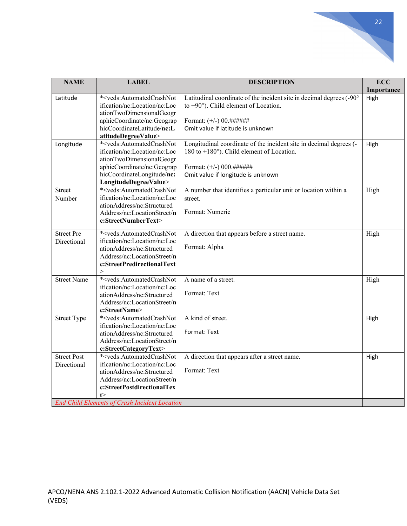| <b>NAME</b>                      | <b>LABEL</b>                                                                                                                                                                                                   | <b>DESCRIPTION</b>                                                                                                                                                                            | <b>ECC</b><br>Importance |
|----------------------------------|----------------------------------------------------------------------------------------------------------------------------------------------------------------------------------------------------------------|-----------------------------------------------------------------------------------------------------------------------------------------------------------------------------------------------|--------------------------|
| Latitude                         | * <veds:automatedcrashnot<br>ification/nc:Location/nc:Loc<br/>ationTwoDimensionalGeogr<br/>aphicCoordinate/nc:Geograp<br/>hicCoordinateLatitude/nc:L<br/>atitudeDegreeValue&gt;</veds:automatedcrashnot<br>    | Latitudinal coordinate of the incident site in decimal degrees (-90°<br>to $+90^\circ$ ). Child element of Location.<br>Format: $(+/-)$ 00.######<br>Omit value if latitude is unknown        | High                     |
| Longitude                        | * <veds:automatedcrashnot<br>ification/nc:Location/nc:Loc<br/>ationTwoDimensionalGeogr<br/>aphicCoordinate/nc:Geograp<br/>hicCoordinateLongitude/nc:<br/>LongitudeDegreeValue&gt;</veds:automatedcrashnot<br>  | Longitudinal coordinate of the incident site in decimal degrees (-<br>180 to $+180^{\circ}$ ). Child element of Location.<br>Format: $(+/-)$ 000.######<br>Omit value if longitude is unknown | High                     |
| Street<br>Number                 | * <veds:automatedcrashnot<br>ification/nc:Location/nc:Loc<br/>ationAddress/nc:Structured<br/>Address/nc:LocationStreet/n<br/>c:StreetNumberText&gt;</veds:automatedcrashnot<br>                                | A number that identifies a particular unit or location within a<br>street.<br>Format: Numeric                                                                                                 | High                     |
| <b>Street Pre</b><br>Directional | * <veds:automatedcrashnot<br>ification/nc:Location/nc:Loc<br/>ationAddress/nc:Structured<br/>Address/nc:LocationStreet/n<br/>c:StreetPredirectionalText<br/><math>\rm{&gt;}</math></veds:automatedcrashnot<br> | A direction that appears before a street name.<br>Format: Alpha                                                                                                                               | High                     |
| <b>Street Name</b>               | * <veds:automatedcrashnot<br>ification/nc:Location/nc:Loc<br/>ationAddress/nc:Structured<br/>Address/nc:LocationStreet/n<br/>c:StreetName&gt;</veds:automatedcrashnot<br>                                      | A name of a street.<br>Format: Text                                                                                                                                                           | High                     |
| <b>Street Type</b>               | * <veds:automatedcrashnot<br>ification/nc:Location/nc:Loc<br/>ationAddress/nc:Structured<br/>Address/nc:LocationStreet/n<br/>c:StreetCategoryText&gt;</veds:automatedcrashnot<br>                              | A kind of street.<br>Format: Text                                                                                                                                                             | High                     |
| <b>Street Post</b>               | * <veds:automatedcrashnot< td=""><td>A direction that appears after a street name.</td><td>High</td></veds:automatedcrashnot<>                                                                                 | A direction that appears after a street name.                                                                                                                                                 | High                     |

Street Post Directional

**t**>

*End Child Elements of Crash Incident Location*

ification/nc:Location/nc:Loc ationAddress/nc:Structured Address/nc:LocationStreet/**n c:StreetPostdirectionalTex**

Format: Text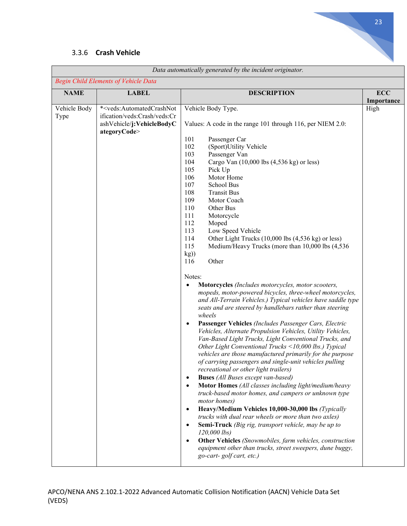

## 3.3.6 **Crash Vehicle**

| Data automatically generated by the incident originator. |                                                                                                                                         |                                                                                                                                                                                                                                                                                                                                                                                                                                                                                                                                                                                                                                                                                                                                                                                                                                                                                                                                                                                                                                                                                                                                                                                                                                                                                                                                                                                                                                                                                                                                                                                                                                                                                                                                                                                                                                         |            |
|----------------------------------------------------------|-----------------------------------------------------------------------------------------------------------------------------------------|-----------------------------------------------------------------------------------------------------------------------------------------------------------------------------------------------------------------------------------------------------------------------------------------------------------------------------------------------------------------------------------------------------------------------------------------------------------------------------------------------------------------------------------------------------------------------------------------------------------------------------------------------------------------------------------------------------------------------------------------------------------------------------------------------------------------------------------------------------------------------------------------------------------------------------------------------------------------------------------------------------------------------------------------------------------------------------------------------------------------------------------------------------------------------------------------------------------------------------------------------------------------------------------------------------------------------------------------------------------------------------------------------------------------------------------------------------------------------------------------------------------------------------------------------------------------------------------------------------------------------------------------------------------------------------------------------------------------------------------------------------------------------------------------------------------------------------------------|------------|
|                                                          | <b>Begin Child Elements of Vehicle Data</b>                                                                                             |                                                                                                                                                                                                                                                                                                                                                                                                                                                                                                                                                                                                                                                                                                                                                                                                                                                                                                                                                                                                                                                                                                                                                                                                                                                                                                                                                                                                                                                                                                                                                                                                                                                                                                                                                                                                                                         |            |
| <b>NAME</b>                                              | <b>LABEL</b>                                                                                                                            | <b>DESCRIPTION</b>                                                                                                                                                                                                                                                                                                                                                                                                                                                                                                                                                                                                                                                                                                                                                                                                                                                                                                                                                                                                                                                                                                                                                                                                                                                                                                                                                                                                                                                                                                                                                                                                                                                                                                                                                                                                                      | <b>ECC</b> |
|                                                          |                                                                                                                                         |                                                                                                                                                                                                                                                                                                                                                                                                                                                                                                                                                                                                                                                                                                                                                                                                                                                                                                                                                                                                                                                                                                                                                                                                                                                                                                                                                                                                                                                                                                                                                                                                                                                                                                                                                                                                                                         | Importance |
| Vehicle Body<br>Type                                     | * <veds:automatedcrashnot<br>ification/veds:Crash/veds:Cr<br/>ashVehicle/j:VehicleBodyC<br/>ategoryCode&gt;</veds:automatedcrashnot<br> | Vehicle Body Type.<br>Values: A code in the range 101 through 116, per NIEM 2.0:<br>101<br>Passenger Car<br>102<br>(Sport)Utility Vehicle<br>103<br>Passenger Van<br>104<br>Cargo Van $(10,000$ lbs $(4,536$ kg) or less)<br>105<br>Pick Up<br>106<br>Motor Home<br>107<br>School Bus<br>108<br><b>Transit Bus</b><br>109<br>Motor Coach<br>110<br>Other Bus<br>111<br>Motorcycle<br>112<br>Moped<br>113<br>Low Speed Vehicle<br>114<br>Other Light Trucks (10,000 lbs (4,536 kg) or less)<br>115<br>Medium/Heavy Trucks (more than 10,000 lbs (4,536)<br>kg)<br>Other<br>116<br>Notes:<br>Motorcycles (Includes motorcycles, motor scooters,<br>$\bullet$<br>mopeds, motor-powered bicycles, three-wheel motorcycles,<br>and All-Terrain Vehicles.) Typical vehicles have saddle type<br>seats and are steered by handlebars rather than steering<br>wheels<br>Passenger Vehicles (Includes Passenger Cars, Electric<br>$\bullet$<br>Vehicles, Alternate Propulsion Vehicles, Utility Vehicles,<br>Van-Based Light Trucks, Light Conventional Trucks, and<br>Other Light Conventional Trucks <10,000 lbs.) Typical<br>vehicles are those manufactured primarily for the purpose<br>of carrying passengers and single-unit vehicles pulling<br>recreational or other light trailers)<br><b>Buses</b> (All Buses except van-based)<br>$\bullet$<br>Motor Homes (All classes including light/medium/heavy<br>truck-based motor homes, and campers or unknown type<br>motor homes)<br>Heavy/Medium Vehicles 10,000-30,000 lbs (Typically<br>$\bullet$<br>trucks with dual rear wheels or more than two axles)<br>Semi-Truck (Big rig, transport vehicle, may be up to<br>$\bullet$<br>$120,000$ lbs)<br>Other Vehicles (Snowmobiles, farm vehicles, construction<br>$\bullet$<br>equipment other than trucks, street sweepers, dune buggy, | High       |
|                                                          |                                                                                                                                         | go-cart-golf cart, etc.)                                                                                                                                                                                                                                                                                                                                                                                                                                                                                                                                                                                                                                                                                                                                                                                                                                                                                                                                                                                                                                                                                                                                                                                                                                                                                                                                                                                                                                                                                                                                                                                                                                                                                                                                                                                                                |            |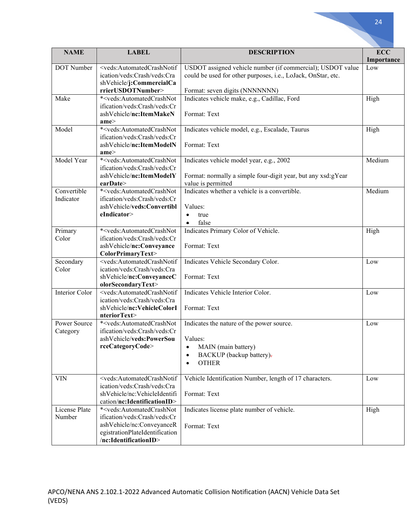| <b>NAME</b>           | <b>LABEL</b>                                                                                                                                        | <b>DESCRIPTION</b>                                           | <b>ECC</b> |
|-----------------------|-----------------------------------------------------------------------------------------------------------------------------------------------------|--------------------------------------------------------------|------------|
| DOT Number            | <veds:automatedcrashnotif< td=""><td>USDOT assigned vehicle number (if commercial); USDOT value</td><td>Importance</td></veds:automatedcrashnotif<> | USDOT assigned vehicle number (if commercial); USDOT value   | Importance |
|                       | ication/veds:Crash/veds:Cra                                                                                                                         | could be used for other purposes, i.e., LoJack, OnStar, etc. | Low        |
|                       | shVehicle/j:CommercialCa                                                                                                                            |                                                              |            |
|                       | rrierUSDOTNumber>                                                                                                                                   | Format: seven digits (NNNNNNN)                               |            |
| Make                  | * <veds:automatedcrashnot< td=""><td>Indicates vehicle make, e.g., Cadillac, Ford</td><td>High</td></veds:automatedcrashnot<>                       | Indicates vehicle make, e.g., Cadillac, Ford                 | High       |
|                       | ification/veds:Crash/veds:Cr                                                                                                                        |                                                              |            |
|                       | ashVehicle/nc:ItemMakeN                                                                                                                             | Format: Text                                                 |            |
|                       | ame                                                                                                                                                 |                                                              |            |
| Model                 | * <veds:automatedcrashnot< td=""><td>Indicates vehicle model, e.g., Escalade, Taurus</td><td>High</td></veds:automatedcrashnot<>                    | Indicates vehicle model, e.g., Escalade, Taurus              | High       |
|                       | ification/veds:Crash/veds:Cr                                                                                                                        |                                                              |            |
|                       | ashVehicle/nc:ItemModelN                                                                                                                            | Format: Text                                                 |            |
|                       | ame                                                                                                                                                 |                                                              |            |
| Model Year            | * <veds:automatedcrashnot< td=""><td>Indicates vehicle model year, e.g., 2002</td><td>Medium</td></veds:automatedcrashnot<>                         | Indicates vehicle model year, e.g., 2002                     | Medium     |
|                       | ification/veds:Crash/veds:Cr                                                                                                                        |                                                              |            |
|                       | ashVehicle/nc:ItemModelY                                                                                                                            | Format: normally a simple four-digit year, but any xsd:gYear |            |
|                       | earDate                                                                                                                                             | value is permitted                                           |            |
| Convertible           | * <veds:automatedcrashnot< td=""><td>Indicates whether a vehicle is a convertible.</td><td>Medium</td></veds:automatedcrashnot<>                    | Indicates whether a vehicle is a convertible.                | Medium     |
| Indicator             | ification/veds:Crash/veds:Cr                                                                                                                        |                                                              |            |
|                       | ashVehicle/veds:Convertibl                                                                                                                          | Values:                                                      |            |
|                       | eIndicator>                                                                                                                                         | true<br>$\bullet$                                            |            |
|                       |                                                                                                                                                     | false<br>$\bullet$                                           |            |
| Primary               | * <veds:automatedcrashnot< td=""><td>Indicates Primary Color of Vehicle.</td><td>High</td></veds:automatedcrashnot<>                                | Indicates Primary Color of Vehicle.                          | High       |
| Color                 | ification/veds:Crash/veds:Cr                                                                                                                        |                                                              |            |
|                       | ashVehicle/nc:Conveyance                                                                                                                            | Format: Text                                                 |            |
|                       | ColorPrimaryText>                                                                                                                                   |                                                              |            |
| Secondary             | <veds:automatedcrashnotif< td=""><td>Indicates Vehicle Secondary Color.</td><td>Low</td></veds:automatedcrashnotif<>                                | Indicates Vehicle Secondary Color.                           | Low        |
| Color                 | ication/veds:Crash/veds:Cra                                                                                                                         |                                                              |            |
|                       | shVehicle/nc:ConveyanceC                                                                                                                            | Format: Text                                                 |            |
|                       | olorSecondaryText>                                                                                                                                  |                                                              |            |
| <b>Interior Color</b> | <veds:automatedcrashnotif< td=""><td>Indicates Vehicle Interior Color.</td><td>Low</td></veds:automatedcrashnotif<>                                 | Indicates Vehicle Interior Color.                            | Low        |
|                       | ication/veds:Crash/veds:Cra                                                                                                                         |                                                              |            |
|                       | shVehicle/nc:VehicleColorI                                                                                                                          | Format: Text                                                 |            |
| Power Source          | nteriorText><br>* <veds:automatedcrashnot< td=""><td></td><td></td></veds:automatedcrashnot<>                                                       |                                                              |            |
|                       | ification/veds:Crash/veds:Cr                                                                                                                        | Indicates the nature of the power source.                    | Low        |
| Category              | ashVehicle/veds:PowerSou                                                                                                                            | Values:                                                      |            |
|                       | rceCategoryCode>                                                                                                                                    | MAIN (main battery)                                          |            |
|                       |                                                                                                                                                     | ٠                                                            |            |
|                       |                                                                                                                                                     | BACKUP (backup battery)-<br>٠                                |            |
|                       |                                                                                                                                                     | <b>OTHER</b><br>$\bullet$                                    |            |
| <b>VIN</b>            | <veds:automatedcrashnotif< td=""><td>Vehicle Identification Number, length of 17 characters.</td><td>Low</td></veds:automatedcrashnotif<>           | Vehicle Identification Number, length of 17 characters.      | Low        |
|                       | ication/veds:Crash/veds:Cra                                                                                                                         |                                                              |            |
|                       | shVehicle/nc:VehicleIdentifi                                                                                                                        | Format: Text                                                 |            |
|                       | cation/nc:IdentificationID>                                                                                                                         |                                                              |            |
| License Plate         | * <veds:automatedcrashnot< td=""><td>Indicates license plate number of vehicle.</td><td>High</td></veds:automatedcrashnot<>                         | Indicates license plate number of vehicle.                   | High       |
| Number                | ification/veds:Crash/veds:Cr                                                                                                                        |                                                              |            |
|                       | ashVehicle/nc:ConveyanceR                                                                                                                           |                                                              |            |
|                       | egistrationPlateIdentification                                                                                                                      | Format: Text                                                 |            |
|                       | /nc:IdentificationID>                                                                                                                               |                                                              |            |
|                       |                                                                                                                                                     |                                                              |            |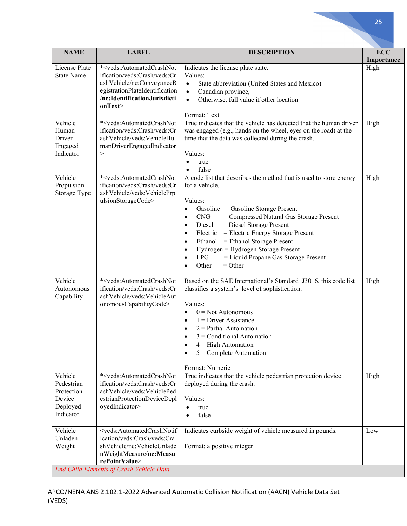| <b>NAME</b>                                                            | <b>LABEL</b>                                                                                                                                                                                                               | <b>DESCRIPTION</b>                                                                                                                                                                                                                                                                                                                                                                                                                                  | <b>ECC</b><br>Importance |
|------------------------------------------------------------------------|----------------------------------------------------------------------------------------------------------------------------------------------------------------------------------------------------------------------------|-----------------------------------------------------------------------------------------------------------------------------------------------------------------------------------------------------------------------------------------------------------------------------------------------------------------------------------------------------------------------------------------------------------------------------------------------------|--------------------------|
| License Plate<br><b>State Name</b>                                     | * <veds:automatedcrashnot<br>ification/veds:Crash/veds:Cr<br/>ashVehicle/nc:ConveyanceR<br/>egistrationPlateIdentification<br/>/nc:IdentificationJurisdicti<br/>onText&gt;</veds:automatedcrashnot<br>                     | Indicates the license plate state.<br>Values:<br>State abbreviation (United States and Mexico)<br>$\bullet$<br>Canadian province,<br>$\bullet$<br>Otherwise, full value if other location<br>$\bullet$                                                                                                                                                                                                                                              | High                     |
| Vehicle<br>Human<br>Driver<br>Engaged<br>Indicator                     | * <veds:automatedcrashnot<br>ification/veds:Crash/veds:Cr<br/>ashVehicle/veds:VehicleHu<br/>manDriverEngagedIndicator<br/><math>\rm{&gt;}</math></veds:automatedcrashnot<br>                                               | Format: Text<br>True indicates that the vehicle has detected that the human driver<br>was engaged (e.g., hands on the wheel, eyes on the road) at the<br>time that the data was collected during the crash.<br>Values:<br>true<br>false                                                                                                                                                                                                             | High                     |
| Vehicle<br>Propulsion<br>Storage Type                                  | * <veds:automatedcrashnot<br>ification/veds:Crash/veds:Cr<br/>ashVehicle/veds:VehiclePrp<br/>ulsionStorageCode&gt;</veds:automatedcrashnot<br>                                                                             | A code list that describes the method that is used to store energy<br>for a vehicle.<br>Values:<br>Gasoline = Gasoline Storage Present<br>٠<br><b>CNG</b><br>= Compressed Natural Gas Storage Present<br>Diesel<br>$=$ Diesel Storage Present<br>Electric = Electric Energy Storage Present<br>Ethanol = Ethanol Storage Present<br>Hydrogen = Hydrogen Storage Present<br><b>LPG</b><br>= Liquid Propane Gas Storage Present<br>Other<br>$=$ Other | High                     |
| Vehicle<br>Autonomous<br>Capability                                    | * <veds:automatedcrashnot<br>ification/veds:Crash/veds:Cr<br/>ashVehicle/veds:VehicleAut<br/>onomousCapabilityCode&gt;</veds:automatedcrashnot<br>                                                                         | Based on the SAE International's Standard J3016, this code list<br>classifies a system's level of sophistication.<br>Values:<br>$0 = Not$ Autonomous<br>$1 =$ Driver Assistance<br>$2$ = Partial Automation<br>$3 =$ Conditional Automation<br>$4 =$ High Automation<br>$5 =$ Complete Automation<br>Format: Numeric                                                                                                                                | High                     |
| Vehicle<br>Pedestrian<br>Protection<br>Device<br>Deployed<br>Indicator | * <veds:automatedcrashnot<br>ification/veds:Crash/veds:Cr<br/>ashVehicle/veds:VehiclePed<br/>estrianProtectionDeviceDepl<br/>oyedIndicator&gt;</veds:automatedcrashnot<br>                                                 | True indicates that the vehicle pedestrian protection device<br>deployed during the crash.<br>Values:<br>true<br>$\bullet$<br>false<br>$\bullet$                                                                                                                                                                                                                                                                                                    | High                     |
| Vehicle<br>Unladen<br>Weight                                           | <veds:automatedcrashnotif<br>ication/veds:Crash/veds:Cra<br/>shVehicle/nc:VehicleUnlade<br/>nWeightMeasure/nc:Measu<br/>rePointValue&gt;<br/><b>End Child Elements of Crash Vehicle Data</b></veds:automatedcrashnotif<br> | Indicates curbside weight of vehicle measured in pounds.<br>Format: a positive integer                                                                                                                                                                                                                                                                                                                                                              | Low                      |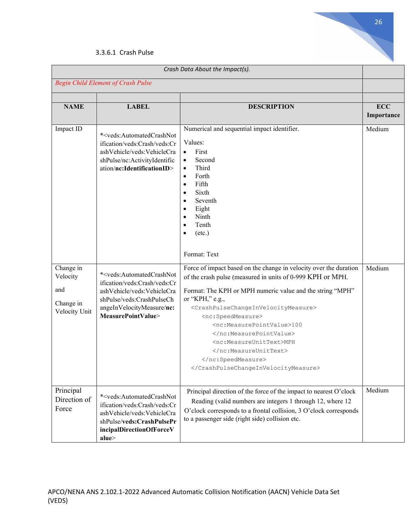

#### 3.3.6.1 Crash Pulse

| Crash Data About the Impact(s).                            |                                                                                                                                                                                                            |                                                                                                                                                                                                                                                                                                                                                                                                                                                              |                          |
|------------------------------------------------------------|------------------------------------------------------------------------------------------------------------------------------------------------------------------------------------------------------------|--------------------------------------------------------------------------------------------------------------------------------------------------------------------------------------------------------------------------------------------------------------------------------------------------------------------------------------------------------------------------------------------------------------------------------------------------------------|--------------------------|
| <b>Begin Child Element of Crash Pulse</b>                  |                                                                                                                                                                                                            |                                                                                                                                                                                                                                                                                                                                                                                                                                                              |                          |
| <b>NAME</b>                                                | <b>LABEL</b>                                                                                                                                                                                               | <b>DESCRIPTION</b>                                                                                                                                                                                                                                                                                                                                                                                                                                           | <b>ECC</b><br>Importance |
| Impact ID                                                  | * <veds:automatedcrashnot<br>ification/veds:Crash/veds:Cr<br/>ashVehicle/veds:VehicleCra<br/>shPulse/nc:ActivityIdentific<br/>ation/nc:IdentificationID&gt;</veds:automatedcrashnot<br>                    | Numerical and sequential impact identifier.<br>Values:<br>First<br>$\bullet$<br>Second<br>$\bullet$<br>Third<br>$\bullet$<br>Forth<br>$\bullet$<br>Fifth<br>$\bullet$<br>Sixth<br>$\bullet$<br>Seventh<br>$\bullet$<br>Eight<br>$\bullet$<br>Ninth<br>$\bullet$<br>Tenth<br>$\bullet$<br>$(\text{etc.})$<br>$\bullet$<br>Format: Text                                                                                                                        | Medium                   |
| Change in<br>Velocity<br>and<br>Change in<br>Velocity Unit | * <veds:automatedcrashnot<br>ification/veds:Crash/veds:Cr<br/>ashVehicle/veds:VehicleCra<br/>shPulse/veds:CrashPulseCh<br/>angeInVelocityMeasure/nc:<br/>MeasurePointValue&gt;</veds:automatedcrashnot<br> | Force of impact based on the change in velocity over the duration<br>of the crash pulse (measured in units of 0-999 KPH or MPH.<br>Format: The KPH or MPH numeric value and the string "MPH"<br>or "KPH," e.g.,<br><crashpulsechangeinvelocitymeasure><br/><nc:speedmeasure><br/><nc:measurepointvalue>100<br/></nc:measurepointvalue><br/><nc:measureunittext>MPH<br/></nc:measureunittext><br/></nc:speedmeasure><br/></crashpulsechangeinvelocitymeasure> | Medium                   |
| Principal<br>Direction of<br>Force                         | * <veds:automatedcrashnot<br>ification/veds:Crash/veds:Cr<br/>ashVehicle/veds:VehicleCra<br/>shPulse/veds:CrashPulsePr<br/>incipalDirectionOfForceV<br/>alue</veds:automatedcrashnot<br>                   | Principal direction of the force of the impact to nearest O'clock<br>Reading (valid numbers are integers 1 through 12, where 12<br>O'clock corresponds to a frontal collision, 3 O'clock corresponds<br>to a passenger side (right side) collision etc.                                                                                                                                                                                                      | Medium                   |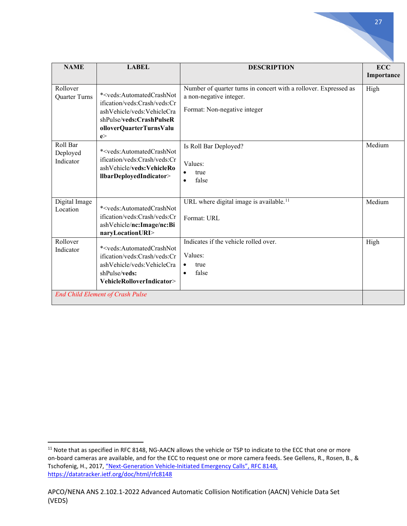| <b>NAME</b>                       | <b>LABEL</b>                                                                                                                                                                        | <b>DESCRIPTION</b>                                                                                                          | <b>ECC</b><br>Importance |
|-----------------------------------|-------------------------------------------------------------------------------------------------------------------------------------------------------------------------------------|-----------------------------------------------------------------------------------------------------------------------------|--------------------------|
| Rollover<br>Quarter Turns         | * <veds:automatedcrashnot<br>ification/veds:Crash/veds:Cr<br/>ashVehicle/veds:VehicleCra<br/>shPulse/veds:CrashPulseR<br/>olloverQuarterTurnsValu<br/>e</veds:automatedcrashnot<br> | Number of quarter turns in concert with a rollover. Expressed as<br>a non-negative integer.<br>Format: Non-negative integer | High                     |
| Roll Bar<br>Deployed<br>Indicator | * <veds:automatedcrashnot<br>ification/veds:Crash/veds:Cr<br/>ashVehicle/veds:VehicleRo<br/>llbarDeployedIndicator&gt;</veds:automatedcrashnot<br>                                  | Is Roll Bar Deployed?<br>Values:<br>true<br>false<br>$\bullet$                                                              | Medium                   |
| Digital Image<br>Location         | * <veds:automatedcrashnot<br>ification/veds:Crash/veds:Cr<br/>ashVehicle/nc:Image/nc:Bi<br/>naryLocationURI&gt;</veds:automatedcrashnot<br>                                         | URL where digital image is available. <sup>11</sup><br>Format: URL                                                          | Medium                   |
| Rollover<br>Indicator             | * <veds:automatedcrashnot<br>ification/veds:Crash/veds:Cr<br/>ashVehicle/veds:VehicleCra<br/>shPulse/veds:<br/>VehicleRolloverIndicator&gt;</veds:automatedcrashnot<br>             | Indicates if the vehicle rolled over.<br>Values:<br>true<br>false<br>$\bullet$                                              | High                     |
|                                   | <b>End Child Element of Crash Pulse</b>                                                                                                                                             |                                                                                                                             |                          |

<span id="page-26-0"></span><sup>&</sup>lt;sup>11</sup> Note that as specified in RFC 8148, NG-AACN allows the vehicle or TSP to indicate to the ECC that one or more on-board cameras are available, and for the ECC to request one or more camera feeds. See Gellens, R., Rosen, B., & Tschofenig, H., 2017, ["Next-Generation Vehicle-Initiated Emergency Calls", RFC 8148,](https://datatracker.ietf.org/doc/html/rfc8148)  https://datatracker.ietf.org/doc/html/rfc8148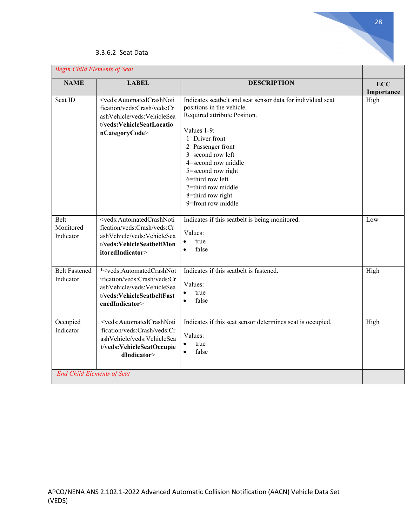| <b>Begin Child Elements of Seat</b> |                                                                                                                                                                           |                                                                                                                                                                                                                                                                                                                                       |                          |
|-------------------------------------|---------------------------------------------------------------------------------------------------------------------------------------------------------------------------|---------------------------------------------------------------------------------------------------------------------------------------------------------------------------------------------------------------------------------------------------------------------------------------------------------------------------------------|--------------------------|
| <b>NAME</b>                         | <b>LABEL</b>                                                                                                                                                              | <b>DESCRIPTION</b>                                                                                                                                                                                                                                                                                                                    | <b>ECC</b><br>Importance |
| Seat ID                             | <veds:automatedcrashnoti<br>fication/veds:Crash/veds:Cr<br/>ashVehicle/veds:VehicleSea<br/>t/veds:VehicleSeatLocatio<br/>nCategoryCode&gt;</veds:automatedcrashnoti<br>   | Indicates seatbelt and seat sensor data for individual seat<br>positions in the vehicle.<br>Required attribute Position.<br>Values 1-9:<br>1=Driver front<br>2=Passenger front<br>3=second row left<br>4=second row middle<br>5=second row right<br>6=third row left<br>7=third row middle<br>8=third row right<br>9=front row middle | High                     |
| Belt<br>Monitored<br>Indicator      | <veds:automatedcrashnoti<br>fication/veds:Crash/veds:Cr<br/>ashVehicle/veds:VehicleSea<br/>t/veds:VehicleSeatbeltMon<br/>itoredIndicator&gt;</veds:automatedcrashnoti<br> | Indicates if this seatbelt is being monitored.<br>Values:<br>true<br>$\bullet$<br>false<br>$\bullet$                                                                                                                                                                                                                                  | Low                      |
| <b>Belt Fastened</b><br>Indicator   | * <veds:automatedcrashnot<br>ification/veds:Crash/veds:Cr<br/>ashVehicle/veds:VehicleSea<br/>t/veds:VehicleSeatbeltFast<br/>enedIndicator&gt;</veds:automatedcrashnot<br> | Indicates if this seatbelt is fastened.<br>Values:<br>true<br>$\bullet$<br>false<br>$\bullet$                                                                                                                                                                                                                                         | High                     |
| Occupied<br>Indicator               | <veds:automatedcrashnoti<br>fication/veds:Crash/veds:Cr<br/>ashVehicle/veds:VehicleSea<br/>t/veds:VehicleSeatOccupie<br/>dIndicator&gt;</veds:automatedcrashnoti<br>      | Indicates if this seat sensor determines seat is occupied.<br>Values:<br>true<br>$\bullet$<br>false<br>$\bullet$                                                                                                                                                                                                                      | High                     |
| <b>End Child Elements of Seat</b>   |                                                                                                                                                                           |                                                                                                                                                                                                                                                                                                                                       |                          |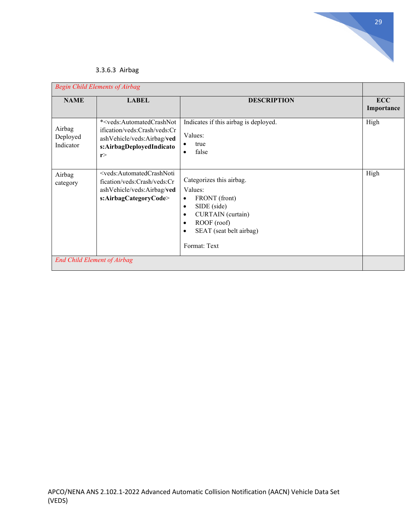

### 3.3.6.3 Airbag

| <b>NAME</b>                     | <b>LABEL</b>                                                                                                                                            | <b>DESCRIPTION</b>                                                                                                                                                                                                  | <b>ECC</b><br>Importance |
|---------------------------------|---------------------------------------------------------------------------------------------------------------------------------------------------------|---------------------------------------------------------------------------------------------------------------------------------------------------------------------------------------------------------------------|--------------------------|
| Airbag<br>Deployed<br>Indicator | * <veds:automatedcrashnot<br>ification/veds:Crash/veds:Cr<br/>ashVehicle/veds:Airbag/ved<br/>s:AirbagDeployedIndicato<br/>r</veds:automatedcrashnot<br> | Indicates if this airbag is deployed.<br>Values:<br>true<br>٠<br>false<br>$\bullet$                                                                                                                                 | High                     |
| Airbag<br>category              | <veds:automatedcrashnoti<br>fication/veds:Crash/veds:Cr<br/>ashVehicle/veds:Airbag/ved<br/>s:AirbagCategoryCode&gt;</veds:automatedcrashnoti<br>        | Categorizes this airbag.<br>Values:<br>FRONT (front)<br>$\bullet$<br>SIDE (side)<br>$\bullet$<br>CURTAIN (curtain)<br>$\bullet$<br>ROOF (roof)<br>$\bullet$<br>SEAT (seat belt airbag)<br>$\bullet$<br>Format: Text | High                     |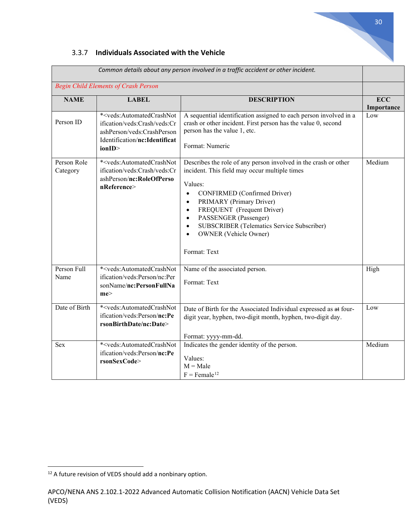

### 3.3.7 **Individuals Associated with the Vehicle**

|                                             |                                                                                                                                                                      | Common details about any person involved in a traffic accident or other incident.                                                                                                                                                                                                                                                                                                                             |                          |
|---------------------------------------------|----------------------------------------------------------------------------------------------------------------------------------------------------------------------|---------------------------------------------------------------------------------------------------------------------------------------------------------------------------------------------------------------------------------------------------------------------------------------------------------------------------------------------------------------------------------------------------------------|--------------------------|
| <b>Begin Child Elements of Crash Person</b> |                                                                                                                                                                      |                                                                                                                                                                                                                                                                                                                                                                                                               |                          |
| <b>NAME</b>                                 | <b>LABEL</b>                                                                                                                                                         | <b>DESCRIPTION</b>                                                                                                                                                                                                                                                                                                                                                                                            | <b>ECC</b><br>Importance |
| Person ID                                   | * <veds:automatedcrashnot<br>ification/veds:Crash/veds:Cr<br/>ashPerson/veds:CrashPerson<br/>Identification/nc:Identificat<br/>ionID&gt;</veds:automatedcrashnot<br> | A sequential identification assigned to each person involved in a<br>crash or other incident. First person has the value 0, second<br>person has the value 1, etc.<br>Format: Numeric                                                                                                                                                                                                                         | Low                      |
| Person Role<br>Category                     | * <veds:automatedcrashnot<br>ification/veds:Crash/veds:Cr<br/>ashPerson/nc:RoleOfPerso<br/>nReference&gt;</veds:automatedcrashnot<br>                                | Describes the role of any person involved in the crash or other<br>incident. This field may occur multiple times<br>Values:<br>CONFIRMED (Confirmed Driver)<br>$\bullet$<br>PRIMARY (Primary Driver)<br>$\bullet$<br>FREQUENT (Frequent Driver)<br>$\bullet$<br>PASSENGER (Passenger)<br>$\bullet$<br>SUBSCRIBER (Telematics Service Subscriber)<br>$\bullet$<br><b>OWNER</b> (Vehicle Owner)<br>Format: Text | Medium                   |
| Person Full<br>Name                         | * <veds:automatedcrashnot<br>ification/veds:Person/nc:Per<br/>sonName/nc:PersonFullNa<br/>me</veds:automatedcrashnot<br>                                             | Name of the associated person.<br>Format: Text                                                                                                                                                                                                                                                                                                                                                                | High                     |
| Date of Birth                               | * <veds:automatedcrashnot<br>ification/veds:Person/nc:Pe<br/>rsonBirthDate/nc:Date&gt;</veds:automatedcrashnot<br>                                                   | Date of Birth for the Associated Individual expressed as at four-<br>digit year, hyphen, two-digit month, hyphen, two-digit day.<br>Format: yyyy-mm-dd.                                                                                                                                                                                                                                                       | Low                      |
| Sex                                         | * <veds:automatedcrashnot<br>ification/veds:Person/nc:Pe<br/>rsonSexCode&gt;</veds:automatedcrashnot<br>                                                             | Indicates the gender identity of the person.<br>Values:<br>$M = Male$<br>$F =$ Female <sup>12</sup>                                                                                                                                                                                                                                                                                                           | Medium                   |

<span id="page-29-0"></span><sup>&</sup>lt;sup>12</sup> A future revision of VEDS should add a nonbinary option.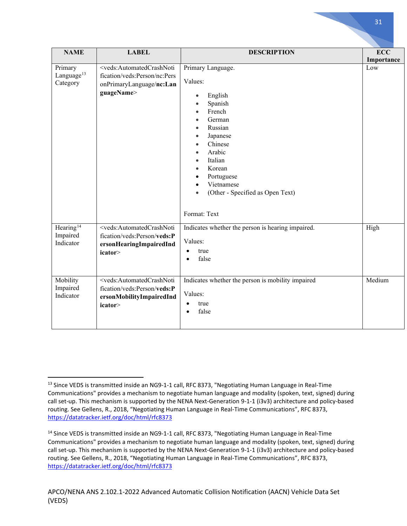| <b>NAME</b>                                    | <b>LABEL</b>                                                                                                                         | <b>DESCRIPTION</b>                                                                                                                                                                                                                                                                                                                                                     | <b>ECC</b> |
|------------------------------------------------|--------------------------------------------------------------------------------------------------------------------------------------|------------------------------------------------------------------------------------------------------------------------------------------------------------------------------------------------------------------------------------------------------------------------------------------------------------------------------------------------------------------------|------------|
|                                                |                                                                                                                                      |                                                                                                                                                                                                                                                                                                                                                                        | Importance |
| Primary<br>Language <sup>13</sup><br>Category  | <veds:automatedcrashnoti<br>fication/veds:Person/nc:Pers<br/>onPrimaryLanguage/nc:Lan<br/>guageName&gt;</veds:automatedcrashnoti<br> | Primary Language.<br>Values:<br>English<br>Spanish<br>$\bullet$<br>French<br>$\bullet$<br>German<br>$\bullet$<br>Russian<br>$\bullet$<br>Japanese<br>$\bullet$<br>Chinese<br>$\bullet$<br>Arabic<br>$\bullet$<br>Italian<br>$\bullet$<br>Korean<br>$\bullet$<br>Portuguese<br>$\bullet$<br>Vietnamese<br>$\bullet$<br>(Other - Specified as Open Text)<br>Format: Text | Low        |
| Hearing <sup>14</sup><br>Impaired<br>Indicator | <veds:automatedcrashnoti<br>fication/veds:Person/veds:P<br/>ersonHearingImpairedInd<br/>icator&gt;</veds:automatedcrashnoti<br>      | Indicates whether the person is hearing impaired.<br>Values:<br>true<br>false                                                                                                                                                                                                                                                                                          | High       |
| Mobility<br>Impaired<br>Indicator              | <veds:automatedcrashnoti<br>fication/veds:Person/veds:P<br/>ersonMobilityImpairedInd<br/>icator&gt;</veds:automatedcrashnoti<br>     | Indicates whether the person is mobility impaired<br>Values:<br>true<br>٠<br>false                                                                                                                                                                                                                                                                                     | Medium     |

<span id="page-30-0"></span><sup>&</sup>lt;sup>13</sup> Since VEDS is transmitted inside an NG9-1-1 call, RFC 8373, "Negotiating Human Language in Real-Time Communications" provides a mechanism to negotiate human language and modality (spoken, text, signed) during call set-up. This mechanism is supported by the NENA Next-Generation 9-1-1 (i3v3) architecture and policy-based routing. See Gellens, R., 2018, "Negotiating Human Language in Real-Time Communications", RFC 8373, <https://datatracker.ietf.org/doc/html/rfc8373>

<span id="page-30-1"></span><sup>&</sup>lt;sup>14</sup> Since VEDS is transmitted inside an NG9-1-1 call, RFC 8373, "Negotiating Human Language in Real-Time Communications" provides a mechanism to negotiate human language and modality (spoken, text, signed) during call set-up. This mechanism is supported by the NENA Next-Generation 9-1-1 (i3v3) architecture and policy-based routing. See Gellens, R., 2018, "Negotiating Human Language in Real-Time Communications", RFC 8373, <https://datatracker.ietf.org/doc/html/rfc8373>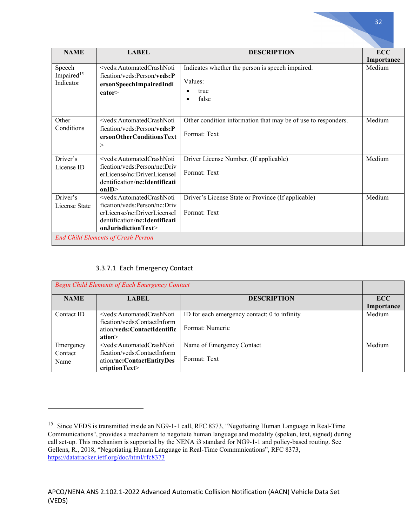| <b>NAME</b>            | <b>LABEL</b>                                                                                                                                     | <b>DESCRIPTION</b>                                            | <b>ECC</b> |
|------------------------|--------------------------------------------------------------------------------------------------------------------------------------------------|---------------------------------------------------------------|------------|
|                        |                                                                                                                                                  |                                                               | Importance |
| Speech                 | <veds:automatedcrashnoti< td=""><td>Indicates whether the person is speech impaired.</td><td>Medium</td></veds:automatedcrashnoti<>              | Indicates whether the person is speech impaired.              | Medium     |
| Impaired <sup>15</sup> | fication/veds:Person/veds:P                                                                                                                      |                                                               |            |
| Indicator              | ersonSpeechImpairedIndi                                                                                                                          | Values:                                                       |            |
|                        | cator>                                                                                                                                           | true                                                          |            |
|                        |                                                                                                                                                  | false                                                         |            |
|                        |                                                                                                                                                  |                                                               |            |
| Other                  | <veds:automatedcrashnoti< td=""><td>Other condition information that may be of use to responders.</td><td>Medium</td></veds:automatedcrashnoti<> | Other condition information that may be of use to responders. | Medium     |
| Conditions             | fication/veds:Person/veds:P                                                                                                                      |                                                               |            |
|                        | ersonOtherConditionsText                                                                                                                         | Format: Text                                                  |            |
|                        | >                                                                                                                                                |                                                               |            |
|                        |                                                                                                                                                  |                                                               |            |
| Driver's               | <veds:automatedcrashnoti< td=""><td>Driver License Number. (If applicable)</td><td>Medium</td></veds:automatedcrashnoti<>                        | Driver License Number. (If applicable)                        | Medium     |
| License ID             | fication/veds:Person/nc:Driv                                                                                                                     | Format: Text                                                  |            |
|                        | erLicense/nc:DriverLicenseI                                                                                                                      |                                                               |            |
|                        | dentification/nc:Identificati                                                                                                                    |                                                               |            |
|                        | onID                                                                                                                                             |                                                               |            |
| Driver's               | <veds:automatedcrashnoti< td=""><td>Driver's License State or Province (If applicable)</td><td>Medium</td></veds:automatedcrashnoti<>            | Driver's License State or Province (If applicable)            | Medium     |
| License State          | fication/yeds:Person/nc:Driv                                                                                                                     | Format: Text                                                  |            |
|                        | erLicense/nc:DriverLicenseI<br>dentification/nc:Identificati                                                                                     |                                                               |            |
|                        | onJurisdictionText>                                                                                                                              |                                                               |            |
|                        |                                                                                                                                                  |                                                               |            |
|                        | <b>End Child Elements of Crash Person</b>                                                                                                        |                                                               |            |

### 3.3.7.1 Each Emergency Contact

| <b>Begin Child Elements of Each Emergency Contact</b> |                                                                                                                                                  |                                                                 |                   |
|-------------------------------------------------------|--------------------------------------------------------------------------------------------------------------------------------------------------|-----------------------------------------------------------------|-------------------|
| <b>NAME</b>                                           | <b>LABEL</b>                                                                                                                                     | <b>DESCRIPTION</b>                                              | ECC<br>Importance |
| Contact ID                                            | <veds:automatedcrashnoti<br>fication/veds:ContactInform<br/>ation/veds:ContactIdentific<br/>ation&gt;</veds:automatedcrashnoti<br>               | ID for each emergency contact: 0 to infinity<br>Format: Numeric | Medium            |
| Emergency<br>Contact<br>Name                          | <veds:automatedcrashnoti<br>fication/veds:ContactInform<br/>ation/nc:ContactEntityDes<br/>cription<math>Text</math></veds:automatedcrashnoti<br> | Name of Emergency Contact<br>Format: Text                       | Medium            |

<span id="page-31-0"></span><sup>15</sup> Since VEDS is transmitted inside an NG9-1-1 call, RFC 8373, "Negotiating Human Language in Real-Time Communications", provides a mechanism to negotiate human language and modality (spoken, text, signed) during call set-up. This mechanism is supported by the NENA i3 standard for NG9-1-1 and policy-based routing. See Gellens, R., 2018, "Negotiating Human Language in Real-Time Communications", RFC 8373, <https://datatracker.ietf.org/doc/html/rfc8373>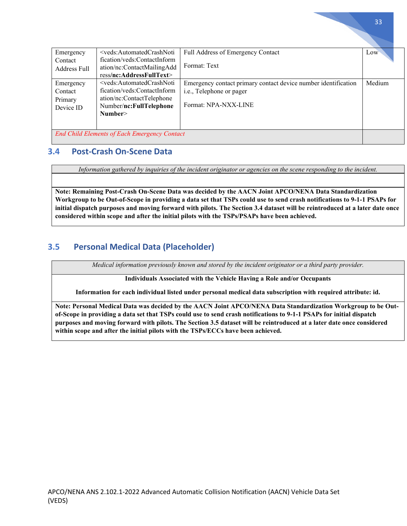| Emergency                                           | <veds:automatedcrashnoti< td=""><td>Full Address of Emergency Contact</td><td>Low</td></veds:automatedcrashnoti<>                                 | Full Address of Emergency Contact                              | Low    |
|-----------------------------------------------------|---------------------------------------------------------------------------------------------------------------------------------------------------|----------------------------------------------------------------|--------|
| Contact                                             | fication/veds:ContactInform                                                                                                                       |                                                                |        |
| <b>Address Full</b>                                 | ation/nc:ContactMailingAdd                                                                                                                        | Format: Text                                                   |        |
|                                                     | ress/nc:AddressFullText>                                                                                                                          |                                                                |        |
| Emergency                                           | <veds:automatedcrashnoti< td=""><td>Emergency contact primary contact device number identification</td><td>Medium</td></veds:automatedcrashnoti<> | Emergency contact primary contact device number identification | Medium |
| Contact                                             | fication/veds:ContactInform                                                                                                                       | i.e., Telephone or pager                                       |        |
| Primary                                             | ation/nc:ContactTelephone                                                                                                                         |                                                                |        |
| Device ID                                           | Number/nc:FullTelephone                                                                                                                           | Format: NPA-NXX-LINE                                           |        |
|                                                     | Number>                                                                                                                                           |                                                                |        |
|                                                     |                                                                                                                                                   |                                                                |        |
|                                                     |                                                                                                                                                   |                                                                |        |
| <b>End Child Elements of Each Emergency Contact</b> |                                                                                                                                                   |                                                                |        |
|                                                     |                                                                                                                                                   |                                                                |        |

### **3.4 Post-Crash On-Scene Data**

*Information gathered by inquiries of the incident originator or agencies on the scene responding to the incident.*

**Note: Remaining Post-Crash On-Scene Data was decided by the AACN Joint APCO/NENA Data Standardization Workgroup to be Out-of-Scope in providing a data set that TSPs could use to send crash notifications to 9-1-1 PSAPs for initial dispatch purposes and moving forward with pilots. The Section 3.4 dataset will be reintroduced at a later date once considered within scope and after the initial pilots with the TSPs/PSAPs have been achieved.**

## **3.5 Personal Medical Data (Placeholder)**

*Medical information previously known and stored by the incident originator or a third party provider.*

**Individuals Associated with the Vehicle Having a Role and/or Occupants**

**Information for each individual listed under personal medical data subscription with required attribute: id.**

**Note: Personal Medical Data was decided by the AACN Joint APCO/NENA Data Standardization Workgroup to be Outof-Scope in providing a data set that TSPs could use to send crash notifications to 9-1-1 PSAPs for initial dispatch purposes and moving forward with pilots. The Section 3.5 dataset will be reintroduced at a later date once considered within scope and after the initial pilots with the TSPs/ECCs have been achieved.**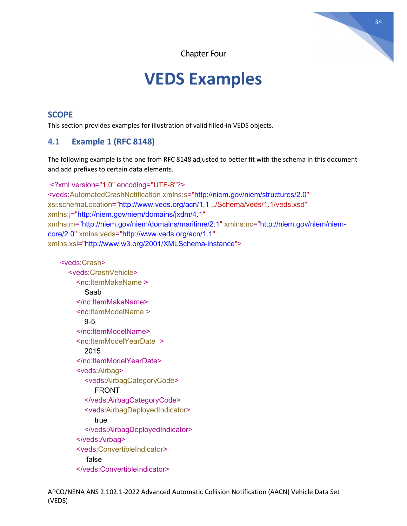Chapter Four

# **VEDS Examples**

### **SCOPE**

This section provides examples for illustration of valid filled-in VEDS objects.

## **4.1 Example 1 (RFC 8148)**

The following example is the one from RFC 8148 adjusted to better fit with the schema in this document and add prefixes to certain data elements.

```
<?xml version="1.0" encoding="UTF-8"?>
<veds:AutomatedCrashNotification xmlns:s="http://niem.gov/niem/structures/2.0"
xsi:schemaLocation="http://www.veds.org/acn/1.1 ../Schema/veds/1.1/veds.xsd"
xmlns:j="http://niem.gov/niem/domains/jxdm/4.1"
xmlns:m="http://niem.gov/niem/domains/maritime/2.1" xmlns:nc="http://niem.gov/niem/niem-
core/2.0" xmlns:veds="http://www.veds.org/acn/1.1"
xmlns:xsi="http://www.w3.org/2001/XMLSchema-instance">
```

```
 <veds:Crash>
   <veds:CrashVehicle>
     <nc:ItemMakeName >
        Saab
     </nc:ItemMakeName>
     <nc:ItemModelName >
        9-5
     </nc:ItemModelName>
     <nc:ItemModelYearDate >
        2015
     </nc:ItemModelYearDate>
     <veds:Airbag>
        <veds:AirbagCategoryCode>
           FRONT
        </veds:AirbagCategoryCode>
        <veds:AirbagDeployedIndicator>
          true
        </veds:AirbagDeployedIndicator>
     </veds:Airbag>
     <veds:ConvertibleIndicator>
        false
     </veds:ConvertibleIndicator>
```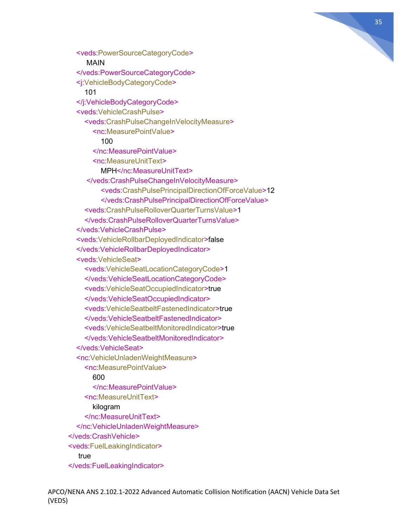

 <veds:PowerSourceCategoryCode> MAIN </veds:PowerSourceCategoryCode> <j:VehicleBodyCategoryCode> 101 </j:VehicleBodyCategoryCode> <veds:VehicleCrashPulse> <veds:CrashPulseChangeInVelocityMeasure> <nc:MeasurePointValue> 100 </nc:MeasurePointValue> <nc:MeasureUnitText> MPH</nc:MeasureUnitText> </veds:CrashPulseChangeInVelocityMeasure> <veds:CrashPulsePrincipalDirectionOfForceValue>12 </veds:CrashPulsePrincipalDirectionOfForceValue> <veds:CrashPulseRolloverQuarterTurnsValue>1 </veds:CrashPulseRolloverQuarterTurnsValue> </veds:VehicleCrashPulse> <veds:VehicleRollbarDeployedIndicator>false </veds:VehicleRollbarDeployedIndicator> <veds:VehicleSeat> <veds:VehicleSeatLocationCategoryCode>1 </veds:VehicleSeatLocationCategoryCode> <veds:VehicleSeatOccupiedIndicator>true </veds:VehicleSeatOccupiedIndicator> <veds:VehicleSeatbeltFastenedIndicator>true </veds:VehicleSeatbeltFastenedIndicator> <veds:VehicleSeatbeltMonitoredIndicator>true </veds:VehicleSeatbeltMonitoredIndicator> </veds:VehicleSeat> <nc:VehicleUnladenWeightMeasure> <nc:MeasurePointValue> 600 </nc:MeasurePointValue> <nc:MeasureUnitText> kilogram </nc:MeasureUnitText> </nc:VehicleUnladenWeightMeasure> </veds:CrashVehicle> <veds:FuelLeakingIndicator> true </veds:FuelLeakingIndicator>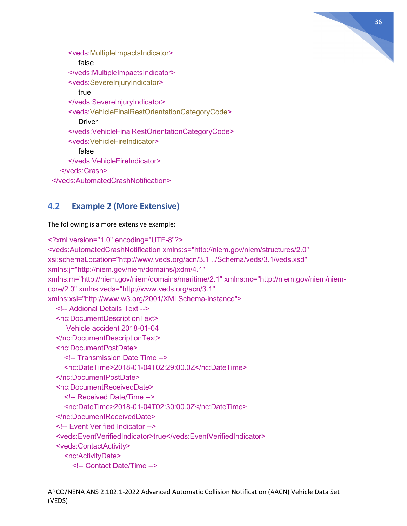

 <veds:MultipleImpactsIndicator> false </veds:MultipleImpactsIndicator> <veds:SevereInjuryIndicator> true </veds:SevereInjuryIndicator> <veds:VehicleFinalRestOrientationCategoryCode> **Driver**  </veds:VehicleFinalRestOrientationCategoryCode> <veds:VehicleFireIndicator> false </veds:VehicleFireIndicator> </veds:Crash> </veds:AutomatedCrashNotification>

## **4.2 Example 2 (More Extensive)**

The following is a more extensive example:

```
<?xml version="1.0" encoding="UTF-8"?>
<veds:AutomatedCrashNotification xmlns:s="http://niem.gov/niem/structures/2.0" 
xsi:schemaLocation="http://www.veds.org/acn/3.1 ../Schema/veds/3.1/veds.xsd" 
xmlns:j="http://niem.gov/niem/domains/jxdm/4.1" 
xmlns:m="http://niem.gov/niem/domains/maritime/2.1" xmlns:nc="http://niem.gov/niem/niem-
core/2.0" xmlns:veds="http://www.veds.org/acn/3.1" 
xmlns:xsi="http://www.w3.org/2001/XMLSchema-instance">
   <!-- Addional Details Text -->
   <nc:DocumentDescriptionText>
      Vehicle accident 2018-01-04
   </nc:DocumentDescriptionText>
   <nc:DocumentPostDate>
     <!-- Transmission Date Time -->
     <nc:DateTime>2018-01-04T02:29:00.0Z</nc:DateTime>
   </nc:DocumentPostDate>
   <nc:DocumentReceivedDate>
     <!-- Received Date/Time -->
     <nc:DateTime>2018-01-04T02:30:00.0Z</nc:DateTime>
   </nc:DocumentReceivedDate>
   <!-- Event Verified Indicator -->
   <veds:EventVerifiedIndicator>true</veds:EventVerifiedIndicator>
   <veds:ContactActivity>
     <nc:ActivityDate>
        <!-- Contact Date/Time -->
```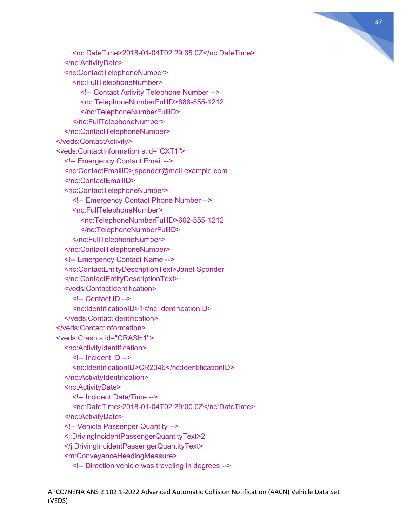

 <nc:DateTime>2018-01-04T02:29:35.0Z</nc:DateTime> </nc:ActivityDate> <nc:ContactTelephoneNumber> <nc:FullTelephoneNumber> <!-- Contact Activity Telephone Number --> <nc:TelephoneNumberFullID>888-555-1212 </nc:TelephoneNumberFullID> </nc:FullTelephoneNumber> </nc:ContactTelephoneNumber> </veds:ContactActivity> <veds:ContactInformation s:id="CXT1"> <!-- Emergency Contact Email --> <nc:ContactEmailID>jsponder@mail.example.com </nc:ContactEmailID> <nc:ContactTelephoneNumber> <!-- Emergency Contact Phone Number --> <nc:FullTelephoneNumber> <nc:TelephoneNumberFullID>602-555-1212 </nc:TelephoneNumberFullID> </nc:FullTelephoneNumber> </nc:ContactTelephoneNumber> <!-- Emergency Contact Name --> <nc:ContactEntityDescriptionText>Janet Sponder </nc:ContactEntityDescriptionText> <veds:ContactIdentification> <!-- Contact ID --> <nc:IdentificationID>1</nc:IdentificationID> </veds:ContactIdentification> </veds:ContactInformation> <veds:Crash s:id="CRASH1"> <nc:ActivityIdentification> <!-- Incident ID --> <nc:IdentificationID>CR2346</nc:IdentificationID> </nc:ActivityIdentification> <nc:ActivityDate> <!-- Incident Date/Time --> <nc:DateTime>2018-01-04T02:29:00.0Z</nc:DateTime> </nc:ActivityDate> <!-- Vehicle Passenger Quantity --> <j:DrivingIncidentPassengerQuantityText>2 </j:DrivingIncidentPassengerQuantityText> <m:ConveyanceHeadingMeasure> <!-- Direction vehicle was traveling in degrees -->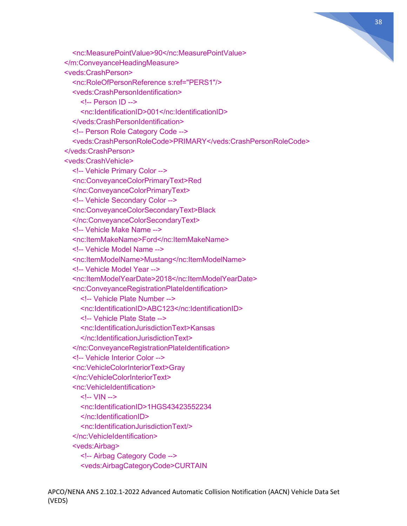

 <nc:MeasurePointValue>90</nc:MeasurePointValue> </m:ConveyanceHeadingMeasure> <veds:CrashPerson> <nc:RoleOfPersonReference s:ref="PERS1"/> <veds:CrashPersonIdentification>  $\leq$  -- Person ID --> <nc:IdentificationID>001</nc:IdentificationID> </veds:CrashPersonIdentification> <!-- Person Role Category Code --> <veds:CrashPersonRoleCode>PRIMARY</veds:CrashPersonRoleCode> </veds:CrashPerson> <veds:CrashVehicle> <!-- Vehicle Primary Color --> <nc:ConveyanceColorPrimaryText>Red </nc:ConveyanceColorPrimaryText> <!-- Vehicle Secondary Color --> <nc:ConveyanceColorSecondaryText>Black </nc:ConveyanceColorSecondaryText> <!-- Vehicle Make Name --> <nc:ItemMakeName>Ford</nc:ItemMakeName> <!-- Vehicle Model Name --> <nc:ItemModelName>Mustang</nc:ItemModelName> <!-- Vehicle Model Year --> <nc:ItemModelYearDate>2018</nc:ItemModelYearDate> <nc:ConveyanceRegistrationPlateIdentification> <!-- Vehicle Plate Number --> <nc:IdentificationID>ABC123</nc:IdentificationID> <!-- Vehicle Plate State --> <nc:IdentificationJurisdictionText>Kansas </nc:IdentificationJurisdictionText> </nc:ConveyanceRegistrationPlateIdentification> <!-- Vehicle Interior Color --> <nc:VehicleColorInteriorText>Gray </nc:VehicleColorInteriorText> <nc:VehicleIdentification> <!-- VIN --> <nc:IdentificationID>1HGS43423552234 </nc:IdentificationID> <nc:IdentificationJurisdictionText/> </nc:VehicleIdentification> <veds:Airbag> <!-- Airbag Category Code --> <veds:AirbagCategoryCode>CURTAIN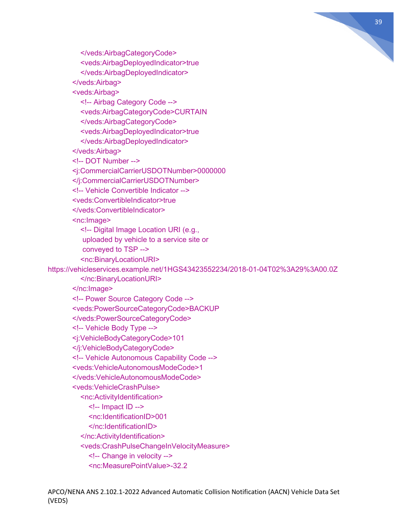

 <veds:AirbagDeployedIndicator>true </veds:AirbagDeployedIndicator> </veds:Airbag> <veds:Airbag> <!-- Airbag Category Code --> <veds:AirbagCategoryCode>CURTAIN </veds:AirbagCategoryCode> <veds:AirbagDeployedIndicator>true </veds:AirbagDeployedIndicator> </veds:Airbag> <!-- DOT Number --> <j:CommercialCarrierUSDOTNumber>0000000 </j:CommercialCarrierUSDOTNumber> <!-- Vehicle Convertible Indicator --> <veds:ConvertibleIndicator>true </veds:ConvertibleIndicator> <nc:Image> <!-- Digital Image Location URI (e.g., uploaded by vehicle to a service site or conveyed to TSP --> <nc:BinaryLocationURI> https://vehicleservices.example.net/1HGS43423552234/2018-01-04T02%3A29%3A00.0Z </nc:BinaryLocationURI> </nc:Image> <!-- Power Source Category Code --> <veds:PowerSourceCategoryCode>BACKUP </veds:PowerSourceCategoryCode> <!-- Vehicle Body Type --> <j:VehicleBodyCategoryCode>101 </j:VehicleBodyCategoryCode> <!-- Vehicle Autonomous Capability Code --> <veds:VehicleAutonomousModeCode>1 </veds:VehicleAutonomousModeCode> <veds:VehicleCrashPulse> <nc:ActivityIdentification>  $\leq$  -- Impact ID -- $>$  <nc:IdentificationID>001 </nc:IdentificationID> </nc:ActivityIdentification> <veds:CrashPulseChangeInVelocityMeasure> <!-- Change in velocity --> <nc:MeasurePointValue>-32.2

</veds:AirbagCategoryCode>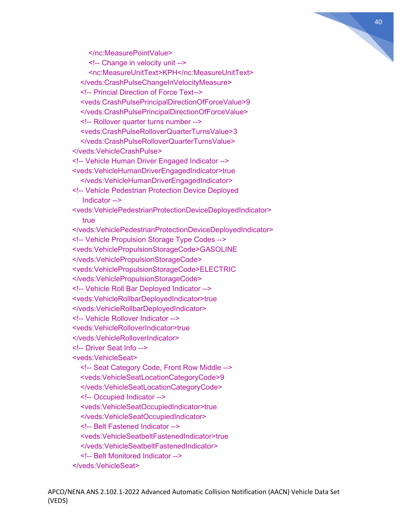

</nc:MeasurePointValue>

 <!-- Change in velocity unit --> <nc:MeasureUnitText>KPH</nc:MeasureUnitText> </veds:CrashPulseChangeInVelocityMeasure> <!-- Princial Direction of Force Text--> <veds:CrashPulsePrincipalDirectionOfForceValue>9 </veds:CrashPulsePrincipalDirectionOfForceValue> <!-- Rollover quarter turns number --> <veds:CrashPulseRolloverQuarterTurnsValue>3 </veds:CrashPulseRolloverQuarterTurnsValue> </veds:VehicleCrashPulse> <!-- Vehicle Human Driver Engaged Indicator --> <veds:VehicleHumanDriverEngagedIndicator>true </veds:VehicleHumanDriverEngagedIndicator> <!-- Vehicle Pedestrian Protection Device Deployed Indicator --> <veds:VehiclePedestrianProtectionDeviceDeployedIndicator> true </veds:VehiclePedestrianProtectionDeviceDeployedIndicator> <!-- Vehicle Propulsion Storage Type Codes --> <veds:VehiclePropulsionStorageCode>GASOLINE </veds:VehiclePropulsionStorageCode> <veds:VehiclePropulsionStorageCode>ELECTRIC </veds:VehiclePropulsionStorageCode> <!-- Vehicle Roll Bar Deployed Indicator --> <veds:VehicleRollbarDeployedIndicator>true </veds:VehicleRollbarDeployedIndicator> <!-- Vehicle Rollover Indicator --> <veds:VehicleRolloverIndicator>true </veds:VehicleRolloverIndicator> <!-- Driver Seat Info --> <veds:VehicleSeat> <!-- Seat Category Code, Front Row Middle --> <veds:VehicleSeatLocationCategoryCode>9 </veds:VehicleSeatLocationCategoryCode> <!-- Occupied Indicator --> <veds:VehicleSeatOccupiedIndicator>true </veds:VehicleSeatOccupiedIndicator> <!-- Belt Fastened Indicator --> <veds:VehicleSeatbeltFastenedIndicator>true </veds:VehicleSeatbeltFastenedIndicator> <!-- Belt Monitored Indicator --> </veds:VehicleSeat>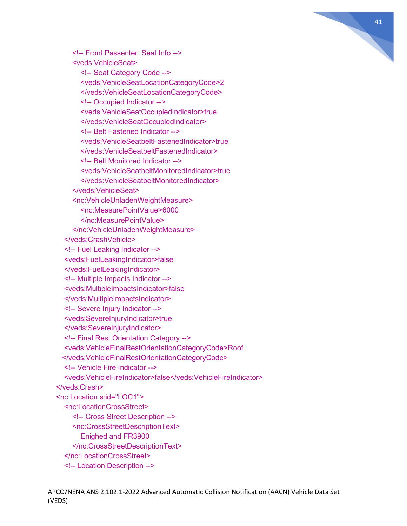

 <!-- Front Passenter Seat Info --> <veds:VehicleSeat> <!-- Seat Category Code --> <veds:VehicleSeatLocationCategoryCode>2 </veds:VehicleSeatLocationCategoryCode> <!-- Occupied Indicator --> <veds:VehicleSeatOccupiedIndicator>true </veds:VehicleSeatOccupiedIndicator> <!-- Belt Fastened Indicator --> <veds:VehicleSeatbeltFastenedIndicator>true </veds:VehicleSeatbeltFastenedIndicator> <!-- Belt Monitored Indicator --> <veds:VehicleSeatbeltMonitoredIndicator>true </veds:VehicleSeatbeltMonitoredIndicator> </veds:VehicleSeat> <nc:VehicleUnladenWeightMeasure> <nc:MeasurePointValue>6000 </nc:MeasurePointValue> </nc:VehicleUnladenWeightMeasure> </veds:CrashVehicle> <!-- Fuel Leaking Indicator --> <veds:FuelLeakingIndicator>false </veds:FuelLeakingIndicator> <!-- Multiple Impacts Indicator --> <veds:MultipleImpactsIndicator>false </veds:MultipleImpactsIndicator> <!-- Severe Injury Indicator --> <veds:SevereInjuryIndicator>true </veds:SevereInjuryIndicator> <!-- Final Rest Orientation Category --> <veds:VehicleFinalRestOrientationCategoryCode>Roof </veds:VehicleFinalRestOrientationCategoryCode> <!-- Vehicle Fire Indicator --> <veds:VehicleFireIndicator>false</veds:VehicleFireIndicator> </veds:Crash> <nc:Location s:id="LOC1"> <nc:LocationCrossStreet> <!-- Cross Street Description --> <nc:CrossStreetDescriptionText> Enighed and FR3900 </nc:CrossStreetDescriptionText> </nc:LocationCrossStreet> <!-- Location Description -->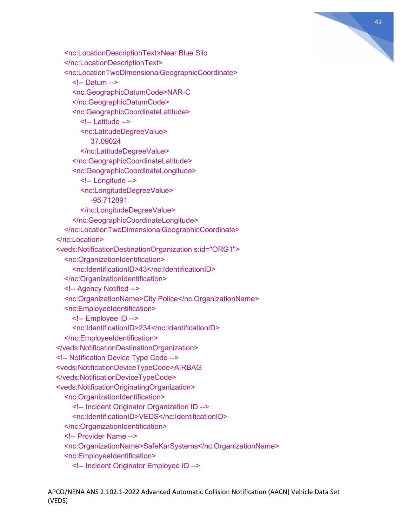

```
 <nc:LocationDescriptionText>Near Blue Silo
   </nc:LocationDescriptionText>
   <nc:LocationTwoDimensionalGeographicCoordinate>
     <!-- Datum -->
     <nc:GeographicDatumCode>NAR-C
     </nc:GeographicDatumCode>
     <nc:GeographicCoordinateLatitude>
        <!-- Latitude -->
        <nc:LatitudeDegreeValue>
           37.09024
        </nc:LatitudeDegreeValue>
     </nc:GeographicCoordinateLatitude>
     <nc:GeographicCoordinateLongitude>
        <!-- Longitude -->
        <nc:LongitudeDegreeValue>
           -95.712891
        </nc:LongitudeDegreeValue>
     </nc:GeographicCoordinateLongitude>
   </nc:LocationTwoDimensionalGeographicCoordinate>
 </nc:Location>
 <veds:NotificationDestinationOrganization s:id="ORG1">
   <nc:OrganizationIdentification>
     <nc:IdentificationID>43</nc:IdentificationID>
   </nc:OrganizationIdentification>
   <!-- Agency Notified -->
   <nc:OrganizationName>City Police</nc:OrganizationName>
   <nc:EmployeeIdentification>
     <!-- Employee ID -->
     <nc:IdentificationID>234</nc:IdentificationID>
   </nc:EmployeeIdentification>
 </veds:NotificationDestinationOrganization>
 <!-- Notification Device Type Code -->
 <veds:NotificationDeviceTypeCode>AIRBAG
 </veds:NotificationDeviceTypeCode>
 <veds:NotificationOriginatingOrganization>
   <nc:OrganizationIdentification>
     <!-- Incident Originator Organization ID -->
      <nc:IdentificationID>VEDS</nc:IdentificationID>
   </nc:OrganizationIdentification>
   <!-- Provider Name -->
   <nc:OrganizationName>SafeKarSystems</nc:OrganizationName>
   <nc:EmployeeIdentification>
     <!-- Incident Originator Employee ID -->
```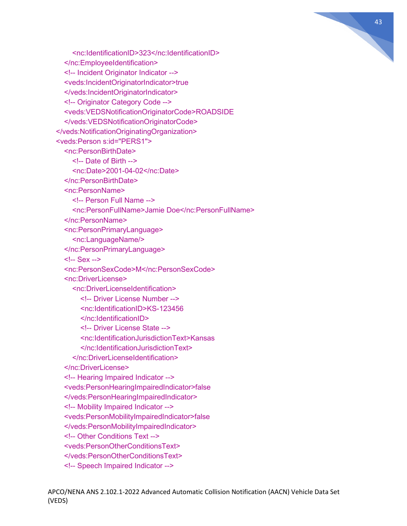

 <nc:IdentificationID>323</nc:IdentificationID> </nc:EmployeeIdentification> <!-- Incident Originator Indicator --> <veds:IncidentOriginatorIndicator>true </veds:IncidentOriginatorIndicator> <!-- Originator Category Code --> <veds:VEDSNotificationOriginatorCode>ROADSIDE </veds:VEDSNotificationOriginatorCode> </veds:NotificationOriginatingOrganization> <veds:Person s:id="PERS1"> <nc:PersonBirthDate> <!-- Date of Birth --> <nc:Date>2001-04-02</nc:Date> </nc:PersonBirthDate> <nc:PersonName> <!-- Person Full Name --> <nc:PersonFullName>Jamie Doe</nc:PersonFullName> </nc:PersonName> <nc:PersonPrimaryLanguage> <nc:LanguageName/> </nc:PersonPrimaryLanguage> <!-- Sex --> <nc:PersonSexCode>M</nc:PersonSexCode> <nc:DriverLicense> <nc:DriverLicenseIdentification> <!-- Driver License Number --> <nc:IdentificationID>KS-123456 </nc:IdentificationID> <!-- Driver License State --> <nc:IdentificationJurisdictionText>Kansas </nc:IdentificationJurisdictionText> </nc:DriverLicenseIdentification> </nc:DriverLicense> <!-- Hearing Impaired Indicator --> <veds:PersonHearingImpairedIndicator>false </veds:PersonHearingImpairedIndicator> <!-- Mobility Impaired Indicator --> <veds:PersonMobilityImpairedIndicator>false </veds:PersonMobilityImpairedIndicator> <!-- Other Conditions Text --> <veds:PersonOtherConditionsText> </veds:PersonOtherConditionsText> <!-- Speech Impaired Indicator -->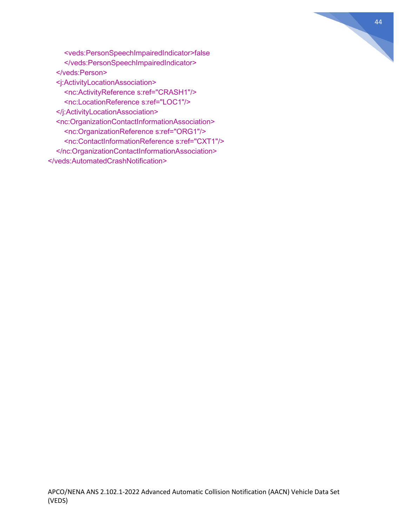

 <veds:PersonSpeechImpairedIndicator>false </veds:PersonSpeechImpairedIndicator> </veds:Person> <j:ActivityLocationAssociation> <nc:ActivityReference s:ref="CRASH1"/> <nc:LocationReference s:ref="LOC1"/> </j:ActivityLocationAssociation> <nc:OrganizationContactInformationAssociation> <nc:OrganizationReference s:ref="ORG1"/> <nc:ContactInformationReference s:ref="CXT1"/> </nc:OrganizationContactInformationAssociation> </veds:AutomatedCrashNotification>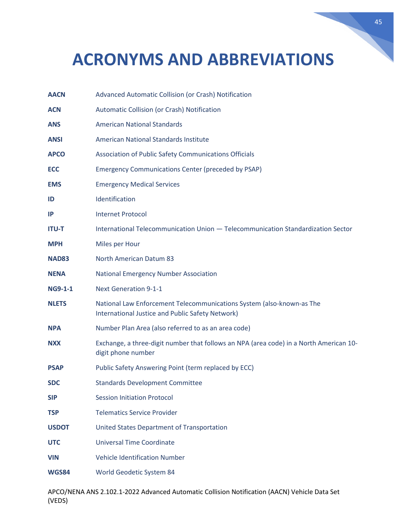# **ACRONYMS AND ABBREVIATIONS**

| <b>AACN</b>    | Advanced Automatic Collision (or Crash) Notification                                                                      |
|----------------|---------------------------------------------------------------------------------------------------------------------------|
| <b>ACN</b>     | Automatic Collision (or Crash) Notification                                                                               |
| <b>ANS</b>     | <b>American National Standards</b>                                                                                        |
| <b>ANSI</b>    | American National Standards Institute                                                                                     |
| <b>APCO</b>    | Association of Public Safety Communications Officials                                                                     |
| <b>ECC</b>     | <b>Emergency Communications Center (preceded by PSAP)</b>                                                                 |
| <b>EMS</b>     | <b>Emergency Medical Services</b>                                                                                         |
| ID             | Identification                                                                                                            |
| IP             | <b>Internet Protocol</b>                                                                                                  |
| <b>ITU-T</b>   | International Telecommunication Union - Telecommunication Standardization Sector                                          |
| <b>MPH</b>     | Miles per Hour                                                                                                            |
| <b>NAD83</b>   | <b>North American Datum 83</b>                                                                                            |
| <b>NENA</b>    | <b>National Emergency Number Association</b>                                                                              |
| <b>NG9-1-1</b> | <b>Next Generation 9-1-1</b>                                                                                              |
| <b>NLETS</b>   | National Law Enforcement Telecommunications System (also-known-as The<br>International Justice and Public Safety Network) |
| <b>NPA</b>     | Number Plan Area (also referred to as an area code)                                                                       |
| <b>NXX</b>     | Exchange, a three-digit number that follows an NPA (area code) in a North American 10-<br>digit phone number              |
| <b>PSAP</b>    | Public Safety Answering Point (term replaced by ECC)                                                                      |
| <b>SDC</b>     | <b>Standards Development Committee</b>                                                                                    |
| <b>SIP</b>     | <b>Session Initiation Protocol</b>                                                                                        |
| <b>TSP</b>     | <b>Telematics Service Provider</b>                                                                                        |
| <b>USDOT</b>   | United States Department of Transportation                                                                                |
| <b>UTC</b>     | <b>Universal Time Coordinate</b>                                                                                          |
| <b>VIN</b>     | <b>Vehicle Identification Number</b>                                                                                      |
| <b>WGS84</b>   | World Geodetic System 84                                                                                                  |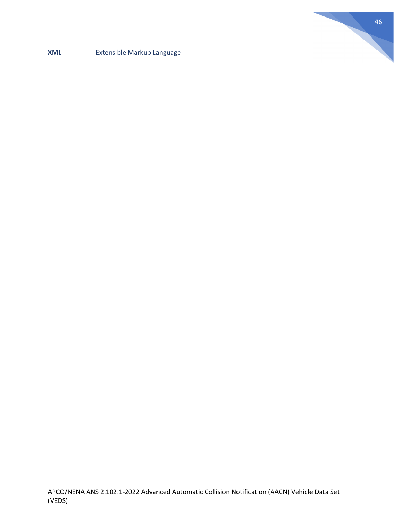

### **XML** Extensible Markup Language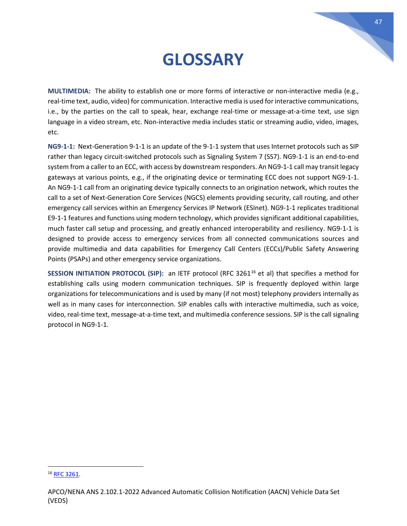# **GLOSSARY**

**MULTIMEDIA:** The ability to establish one or more forms of interactive or non-interactive media (e.g., real-time text, audio, video) for communication. Interactive media is used for interactive communications, i.e., by the parties on the call to speak, hear, exchange real-time or message-at-a-time text, use sign language in a video stream, etc. Non-interactive media includes static or streaming audio, video, images, etc.

**NG9-1-1:** Next-Generation 9-1-1 is an update of the 9-1-1 system that uses Internet protocols such as SIP rather than legacy circuit-switched protocols such as Signaling System 7 (SS7). NG9-1-1 is an end-to-end system from a caller to an ECC, with access by downstream responders. An NG9-1-1 call may transit legacy gateways at various points, e.g., if the originating device or terminating ECC does not support NG9-1-1. An NG9-1-1 call from an originating device typically connects to an origination network, which routes the call to a set of Next-Generation Core Services (NGCS) elements providing security, call routing, and other emergency call services within an Emergency Services IP Network (ESInet). NG9-1-1 replicates traditional E9-1-1 features and functions using modern technology, which provides significant additional capabilities, much faster call setup and processing, and greatly enhanced interoperability and resiliency. NG9-1-1 is designed to provide access to emergency services from all connected communications sources and provide multimedia and data capabilities for Emergency Call Centers (ECCs)/Public Safety Answering Points (PSAPs) and other emergency service organizations.

**SESSION INITIATION PROTOCOL (SIP):** an IETF protocol (RFC 3261<sup>[16](#page-46-0)</sup> et al) that specifies a method for establishing calls using modern communication techniques. SIP is frequently deployed within large organizations for telecommunications and is used by many (if not most) telephony providers internally as well as in many cases for interconnection. SIP enables calls with interactive multimedia, such as voice, video, real-time text, message-at-a-time text, and multimedia conference sessions. SIP is the call signaling protocol in NG9-1-1.

<span id="page-46-0"></span><sup>16</sup> [RFC 3261.](https://datatracker.ietf.org/doc/rfc3261/)

APCO/NENA ANS 2.102.1-2022 Advanced Automatic Collision Notification (AACN) Vehicle Data Set (VEDS)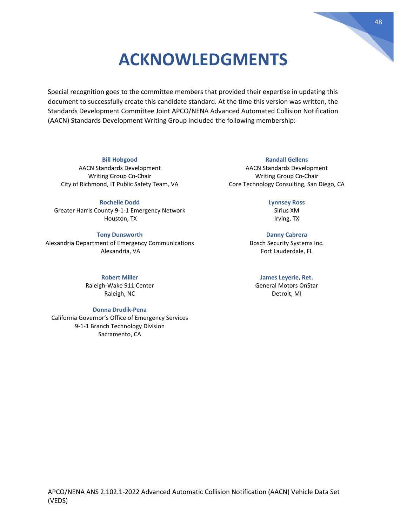# **ACKNOWLEDGMENTS**

Special recognition goes to the committee members that provided their expertise in updating this document to successfully create this candidate standard. At the time this version was written, the Standards Development Committee Joint APCO/NENA Advanced Automated Collision Notification (AACN) Standards Development Writing Group included the following membership:

#### **Bill Hobgood**

AACN Standards Development Writing Group Co-Chair City of Richmond, IT Public Safety Team, VA

**Rochelle Dodd** Greater Harris County 9-1-1 Emergency Network Houston, TX

#### **Tony Dunsworth**

Alexandria Department of Emergency Communications Alexandria, VA

**Robert Miller**

Raleigh-Wake 911 Center Raleigh, NC

#### **Donna Drudik-Pena**

California Governor's Office of Emergency Services 9-1-1 Branch Technology Division Sacramento, CA

#### **Randall Gellens**

AACN Standards Development Writing Group Co-Chair Core Technology Consulting, San Diego, CA

#### **Lynnsey Ross**

Sirius XM Irving, TX

**Danny Cabrera** Bosch Security Systems Inc. Fort Lauderdale, FL

#### **James Leyerle, Ret.**

General Motors OnStar Detroit, MI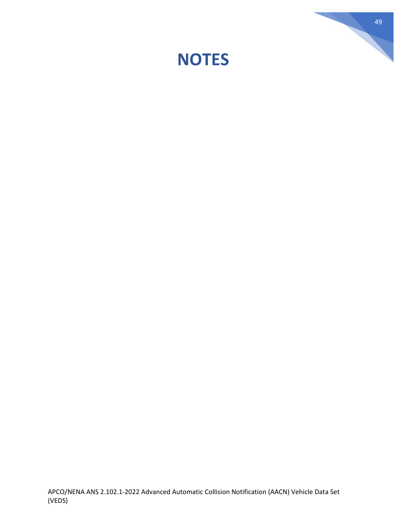

49